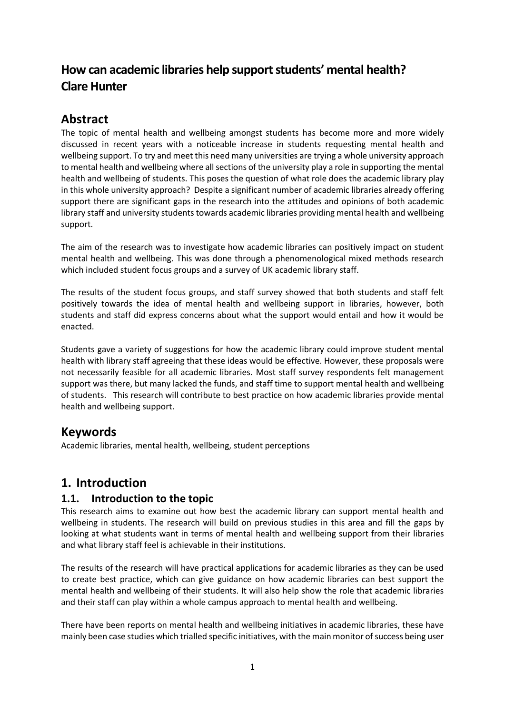# **How can academic libraries help support students' mental health? Clare Hunter**

# **Abstract**

The topic of mental health and wellbeing amongst students has become more and more widely discussed in recent years with a noticeable increase in students requesting mental health and wellbeing support. To try and meet this need many universities are trying a whole university approach to mental health and wellbeing where all sections of the university play a role in supporting the mental health and wellbeing of students. This poses the question of what role does the academic library play in this whole university approach? Despite a significant number of academic libraries already offering support there are significant gaps in the research into the attitudes and opinions of both academic library staff and university students towards academic libraries providing mental health and wellbeing support.

The aim of the research was to investigate how academic libraries can positively impact on student mental health and wellbeing. This was done through a phenomenological mixed methods research which included student focus groups and a survey of UK academic library staff.

The results of the student focus groups, and staff survey showed that both students and staff felt positively towards the idea of mental health and wellbeing support in libraries, however, both students and staff did express concerns about what the support would entail and how it would be enacted.

Students gave a variety of suggestions for how the academic library could improve student mental health with library staff agreeing that these ideas would be effective. However, these proposals were not necessarily feasible for all academic libraries. Most staff survey respondents felt management support was there, but many lacked the funds, and staff time to support mental health and wellbeing of students. This research will contribute to best practice on how academic libraries provide mental health and wellbeing support.

# **Keywords**

Academic libraries, mental health, wellbeing, student perceptions

# **1. Introduction**

### **1.1. Introduction to the topic**

This research aims to examine out how best the academic library can support mental health and wellbeing in students. The research will build on previous studies in this area and fill the gaps by looking at what students want in terms of mental health and wellbeing support from their libraries and what library staff feel is achievable in their institutions.

The results of the research will have practical applications for academic libraries as they can be used to create best practice, which can give guidance on how academic libraries can best support the mental health and wellbeing of their students. It will also help show the role that academic libraries and their staff can play within a whole campus approach to mental health and wellbeing.

There have been reports on mental health and wellbeing initiatives in academic libraries, these have mainly been case studies which trialled specific initiatives, with the main monitor of success being user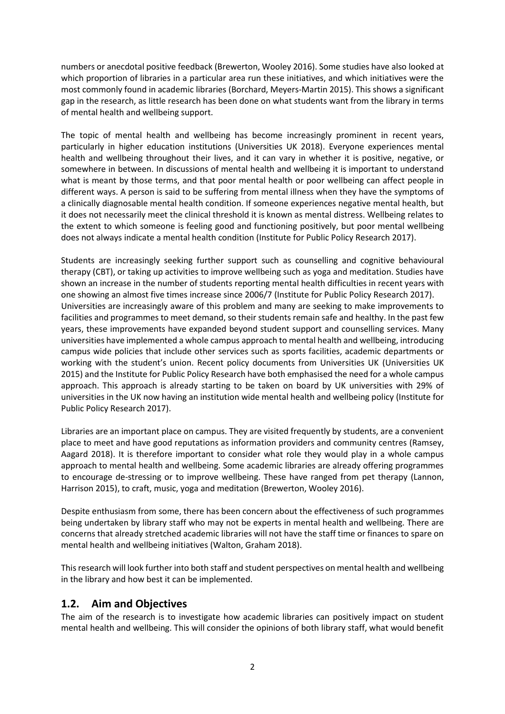numbers or anecdotal positive feedback (Brewerton, Wooley 2016). Some studies have also looked at which proportion of libraries in a particular area run these initiatives, and which initiatives were the most commonly found in academic libraries (Borchard, Meyers-Martin 2015). This shows a significant gap in the research, as little research has been done on what students want from the library in terms of mental health and wellbeing support.

The topic of mental health and wellbeing has become increasingly prominent in recent years, particularly in higher education institutions (Universities UK 2018). Everyone experiences mental health and wellbeing throughout their lives, and it can vary in whether it is positive, negative, or somewhere in between. In discussions of mental health and wellbeing it is important to understand what is meant by those terms, and that poor mental health or poor wellbeing can affect people in different ways. A person is said to be suffering from mental illness when they have the symptoms of a clinically diagnosable mental health condition. If someone experiences negative mental health, but it does not necessarily meet the clinical threshold it is known as mental distress. Wellbeing relates to the extent to which someone is feeling good and functioning positively, but poor mental wellbeing does not always indicate a mental health condition (Institute for Public Policy Research 2017).

Students are increasingly seeking further support such as counselling and cognitive behavioural therapy (CBT), or taking up activities to improve wellbeing such as yoga and meditation. Studies have shown an increase in the number of students reporting mental health difficulties in recent years with one showing an almost five times increase since 2006/7 (Institute for Public Policy Research 2017). Universities are increasingly aware of this problem and many are seeking to make improvements to facilities and programmes to meet demand, so their students remain safe and healthy. In the past few years, these improvements have expanded beyond student support and counselling services. Many universities have implemented a whole campus approach to mental health and wellbeing, introducing campus wide policies that include other services such as sports facilities, academic departments or working with the student's union. Recent policy documents from Universities UK (Universities UK 2015) and the Institute for Public Policy Research have both emphasised the need for a whole campus approach. This approach is already starting to be taken on board by UK universities with 29% of universities in the UK now having an institution wide mental health and wellbeing policy (Institute for Public Policy Research 2017).

Libraries are an important place on campus. They are visited frequently by students, are a convenient place to meet and have good reputations as information providers and community centres (Ramsey, Aagard 2018). It is therefore important to consider what role they would play in a whole campus approach to mental health and wellbeing. Some academic libraries are already offering programmes to encourage de-stressing or to improve wellbeing. These have ranged from pet therapy (Lannon, Harrison 2015), to craft, music, yoga and meditation (Brewerton, Wooley 2016).

Despite enthusiasm from some, there has been concern about the effectiveness of such programmes being undertaken by library staff who may not be experts in mental health and wellbeing. There are concerns that already stretched academic libraries will not have the staff time or finances to spare on mental health and wellbeing initiatives (Walton, Graham 2018).

This research will look further into both staff and student perspectives on mental health and wellbeing in the library and how best it can be implemented.

### **1.2. Aim and Objectives**

The aim of the research is to investigate how academic libraries can positively impact on student mental health and wellbeing. This will consider the opinions of both library staff, what would benefit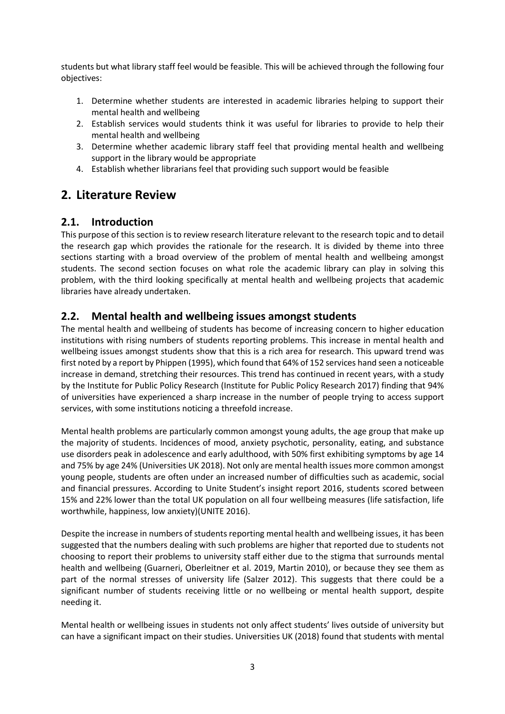students but what library staff feel would be feasible. This will be achieved through the following four objectives:

- 1. Determine whether students are interested in academic libraries helping to support their mental health and wellbeing
- 2. Establish services would students think it was useful for libraries to provide to help their mental health and wellbeing
- 3. Determine whether academic library staff feel that providing mental health and wellbeing support in the library would be appropriate
- 4. Establish whether librarians feel that providing such support would be feasible

# **2. Literature Review**

### **2.1. Introduction**

This purpose of this section is to review research literature relevant to the research topic and to detail the research gap which provides the rationale for the research. It is divided by theme into three sections starting with a broad overview of the problem of mental health and wellbeing amongst students. The second section focuses on what role the academic library can play in solving this problem, with the third looking specifically at mental health and wellbeing projects that academic libraries have already undertaken.

### **2.2. Mental health and wellbeing issues amongst students**

The mental health and wellbeing of students has become of increasing concern to higher education institutions with rising numbers of students reporting problems. This increase in mental health and wellbeing issues amongst students show that this is a rich area for research. This upward trend was first noted by a report by Phippen (1995), which found that 64% of 152 services hand seen a noticeable increase in demand, stretching their resources. This trend has continued in recent years, with a study by the Institute for Public Policy Research (Institute for Public Policy Research 2017) finding that 94% of universities have experienced a sharp increase in the number of people trying to access support services, with some institutions noticing a threefold increase.

Mental health problems are particularly common amongst young adults, the age group that make up the majority of students. Incidences of mood, anxiety psychotic, personality, eating, and substance use disorders peak in adolescence and early adulthood, with 50% first exhibiting symptoms by age 14 and 75% by age 24% (Universities UK 2018). Not only are mental health issues more common amongst young people, students are often under an increased number of difficulties such as academic, social and financial pressures. According to Unite Student's insight report 2016, students scored between 15% and 22% lower than the total UK population on all four wellbeing measures (life satisfaction, life worthwhile, happiness, low anxiety)(UNITE 2016).

Despite the increase in numbers of students reporting mental health and wellbeing issues, it has been suggested that the numbers dealing with such problems are higher that reported due to students not choosing to report their problems to university staff either due to the stigma that surrounds mental health and wellbeing (Guarneri, Oberleitner et al. 2019, Martin 2010), or because they see them as part of the normal stresses of university life (Salzer 2012). This suggests that there could be a significant number of students receiving little or no wellbeing or mental health support, despite needing it.

Mental health or wellbeing issues in students not only affect students' lives outside of university but can have a significant impact on their studies. Universities UK (2018) found that students with mental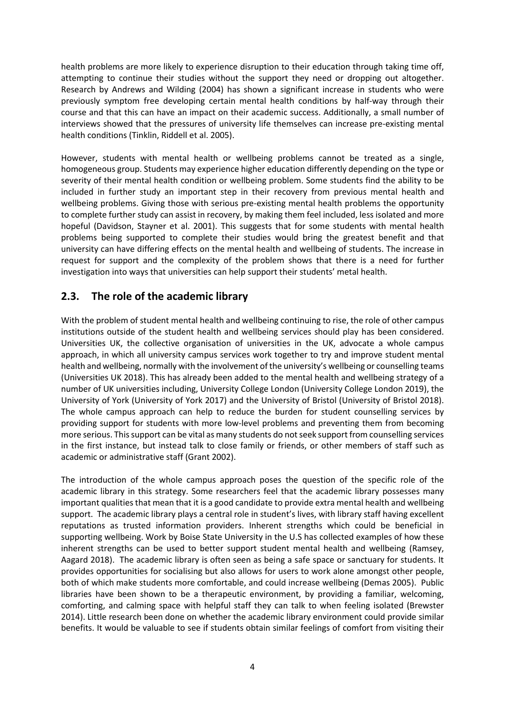health problems are more likely to experience disruption to their education through taking time off, attempting to continue their studies without the support they need or dropping out altogether. Research by Andrews and Wilding (2004) has shown a significant increase in students who were previously symptom free developing certain mental health conditions by half-way through their course and that this can have an impact on their academic success. Additionally, a small number of interviews showed that the pressures of university life themselves can increase pre-existing mental health conditions (Tinklin, Riddell et al. 2005).

However, students with mental health or wellbeing problems cannot be treated as a single, homogeneous group. Students may experience higher education differently depending on the type or severity of their mental health condition or wellbeing problem. Some students find the ability to be included in further study an important step in their recovery from previous mental health and wellbeing problems. Giving those with serious pre-existing mental health problems the opportunity to complete further study can assist in recovery, by making them feel included, less isolated and more hopeful (Davidson, Stayner et al. 2001). This suggests that for some students with mental health problems being supported to complete their studies would bring the greatest benefit and that university can have differing effects on the mental health and wellbeing of students. The increase in request for support and the complexity of the problem shows that there is a need for further investigation into ways that universities can help support their students' metal health.

## **2.3. The role of the academic library**

With the problem of student mental health and wellbeing continuing to rise, the role of other campus institutions outside of the student health and wellbeing services should play has been considered. Universities UK, the collective organisation of universities in the UK, advocate a whole campus approach, in which all university campus services work together to try and improve student mental health and wellbeing, normally with the involvement ofthe university's wellbeing or counselling teams (Universities UK 2018). This has already been added to the mental health and wellbeing strategy of a number of UK universities including, University College London (University College London 2019), the University of York (University of York 2017) and the University of Bristol (University of Bristol 2018). The whole campus approach can help to reduce the burden for student counselling services by providing support for students with more low-level problems and preventing them from becoming more serious. Thissupport can be vital as many students do notseek support from counselling services in the first instance, but instead talk to close family or friends, or other members of staff such as academic or administrative staff (Grant 2002).

The introduction of the whole campus approach poses the question of the specific role of the academic library in this strategy. Some researchers feel that the academic library possesses many important qualities that mean that it is a good candidate to provide extra mental health and wellbeing support. The academic library plays a central role in student's lives, with library staff having excellent reputations as trusted information providers. Inherent strengths which could be beneficial in supporting wellbeing. Work by Boise State University in the U.S has collected examples of how these inherent strengths can be used to better support student mental health and wellbeing (Ramsey, Aagard 2018). The academic library is often seen as being a safe space or sanctuary for students. It provides opportunities for socialising but also allows for users to work alone amongst other people, both of which make students more comfortable, and could increase wellbeing (Demas 2005). Public libraries have been shown to be a therapeutic environment, by providing a familiar, welcoming, comforting, and calming space with helpful staff they can talk to when feeling isolated (Brewster 2014). Little research been done on whether the academic library environment could provide similar benefits. It would be valuable to see if students obtain similar feelings of comfort from visiting their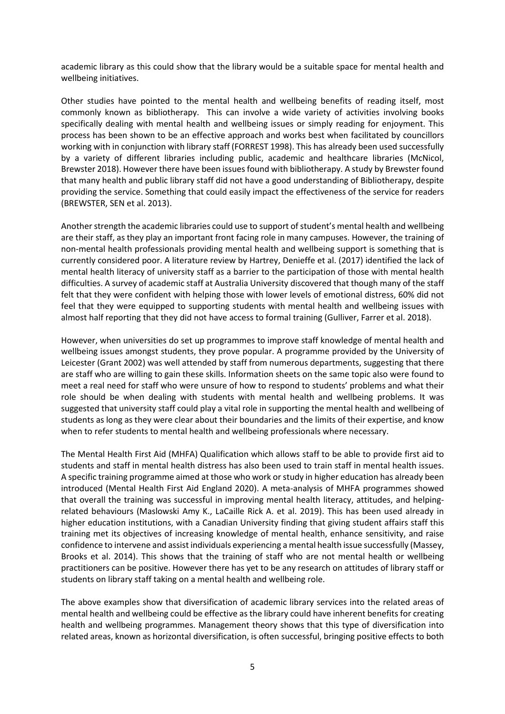academic library as this could show that the library would be a suitable space for mental health and wellbeing initiatives.

Other studies have pointed to the mental health and wellbeing benefits of reading itself, most commonly known as bibliotherapy. This can involve a wide variety of activities involving books specifically dealing with mental health and wellbeing issues or simply reading for enjoyment. This process has been shown to be an effective approach and works best when facilitated by councillors working with in conjunction with library staff (FORREST 1998). This has already been used successfully by a variety of different libraries including public, academic and healthcare libraries (McNicol, Brewster 2018). However there have been issuesfound with bibliotherapy. A study by Brewster found that many health and public library staff did not have a good understanding of Bibliotherapy, despite providing the service. Something that could easily impact the effectiveness of the service for readers (BREWSTER, SEN et al. 2013).

Another strength the academic libraries could use to support of student's mental health and wellbeing are their staff, as they play an important front facing role in many campuses. However, the training of non-mental health professionals providing mental health and wellbeing support is something that is currently considered poor. A literature review by Hartrey, Denieffe et al. (2017) identified the lack of mental health literacy of university staff as a barrier to the participation of those with mental health difficulties. A survey of academic staff at Australia University discovered that though many of the staff felt that they were confident with helping those with lower levels of emotional distress, 60% did not feel that they were equipped to supporting students with mental health and wellbeing issues with almost half reporting that they did not have access to formal training (Gulliver, Farrer et al. 2018).

However, when universities do set up programmes to improve staff knowledge of mental health and wellbeing issues amongst students, they prove popular. A programme provided by the University of Leicester (Grant 2002) was well attended by staff from numerous departments, suggesting that there are staff who are willing to gain these skills. Information sheets on the same topic also were found to meet a real need for staff who were unsure of how to respond to students' problems and what their role should be when dealing with students with mental health and wellbeing problems. It was suggested that university staff could play a vital role in supporting the mental health and wellbeing of students as long as they were clear about their boundaries and the limits of their expertise, and know when to refer students to mental health and wellbeing professionals where necessary.

The Mental Health First Aid (MHFA) Qualification which allows staff to be able to provide first aid to students and staff in mental health distress has also been used to train staff in mental health issues. A specific training programme aimed at those who work orstudy in higher education has already been introduced (Mental Health First Aid England 2020). A meta-analysis of MHFA programmes showed that overall the training was successful in improving mental health literacy, attitudes, and helpingrelated behaviours (Maslowski Amy K., LaCaille Rick A. et al. 2019). This has been used already in higher education institutions, with a Canadian University finding that giving student affairs staff this training met its objectives of increasing knowledge of mental health, enhance sensitivity, and raise confidence to intervene and assist individuals experiencing a mental health issue successfully (Massey, Brooks et al. 2014). This shows that the training of staff who are not mental health or wellbeing practitioners can be positive. However there has yet to be any research on attitudes of library staff or students on library staff taking on a mental health and wellbeing role.

The above examples show that diversification of academic library services into the related areas of mental health and wellbeing could be effective as the library could have inherent benefits for creating health and wellbeing programmes. Management theory shows that this type of diversification into related areas, known as horizontal diversification, is often successful, bringing positive effects to both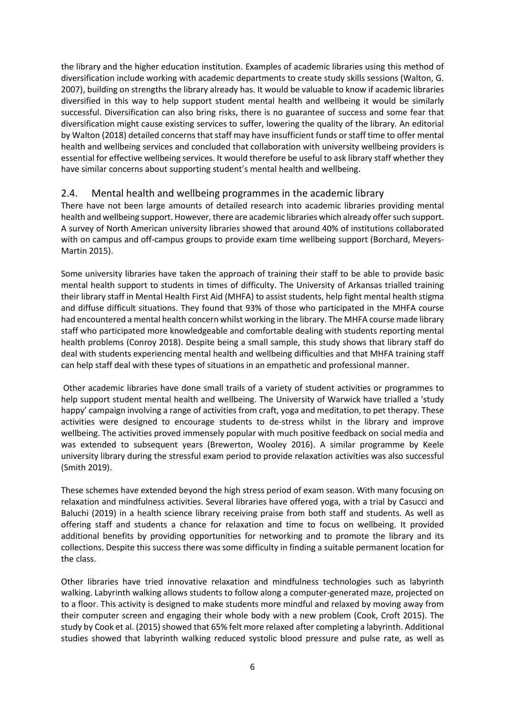the library and the higher education institution. Examples of academic libraries using this method of diversification include working with academic departments to create study skills sessions (Walton, G. 2007), building on strengths the library already has. It would be valuable to know if academic libraries diversified in this way to help support student mental health and wellbeing it would be similarly successful. Diversification can also bring risks, there is no guarantee of success and some fear that diversification might cause existing services to suffer, lowering the quality of the library*.* An editorial by Walton (2018) detailed concerns that staff may have insufficient funds orstaff time to offer mental health and wellbeing services and concluded that collaboration with university wellbeing providers is essential for effective wellbeing services. It would therefore be useful to ask library staff whether they have similar concerns about supporting student's mental health and wellbeing.

#### 2.4. Mental health and wellbeing programmes in the academic library

There have not been large amounts of detailed research into academic libraries providing mental health and wellbeing support. However, there are academic libraries which already offer such support. A survey of North American university libraries showed that around 40% of institutions collaborated with on campus and off-campus groups to provide exam time wellbeing support (Borchard, Meyers-Martin 2015).

Some university libraries have taken the approach of training their staff to be able to provide basic mental health support to students in times of difficulty. The University of Arkansas trialled training their library staff in Mental Health First Aid (MHFA) to assist students, help fight mental health stigma and diffuse difficult situations. They found that 93% of those who participated in the MHFA course had encountered a mental health concern whilst working in the library. The MHFA course made library staff who participated more knowledgeable and comfortable dealing with students reporting mental health problems (Conroy 2018). Despite being a small sample, this study shows that library staff do deal with students experiencing mental health and wellbeing difficulties and that MHFA training staff can help staff deal with these types of situations in an empathetic and professional manner.

Other academic libraries have done small trails of a variety of student activities or programmes to help support student mental health and wellbeing. The University of Warwick have trialled a 'study happy' campaign involving a range of activities from craft, yoga and meditation, to pet therapy. These activities were designed to encourage students to de-stress whilst in the library and improve wellbeing. The activities proved immensely popular with much positive feedback on social media and was extended to subsequent years (Brewerton, Wooley 2016). A similar programme by Keele university library during the stressful exam period to provide relaxation activities was also successful (Smith 2019).

These schemes have extended beyond the high stress period of exam season. With many focusing on relaxation and mindfulness activities. Several libraries have offered yoga, with a trial by Casucci and Baluchi (2019) in a health science library receiving praise from both staff and students. As well as offering staff and students a chance for relaxation and time to focus on wellbeing. It provided additional benefits by providing opportunities for networking and to promote the library and its collections. Despite this success there was some difficulty in finding a suitable permanent location for the class.

Other libraries have tried innovative relaxation and mindfulness technologies such as labyrinth walking. Labyrinth walking allows students to follow along a computer-generated maze, projected on to a floor. This activity is designed to make students more mindful and relaxed by moving away from their computer screen and engaging their whole body with a new problem (Cook, Croft 2015). The study by Cook et al. (2015) showed that 65% felt more relaxed after completing a labyrinth. Additional studies showed that labyrinth walking reduced systolic blood pressure and pulse rate, as well as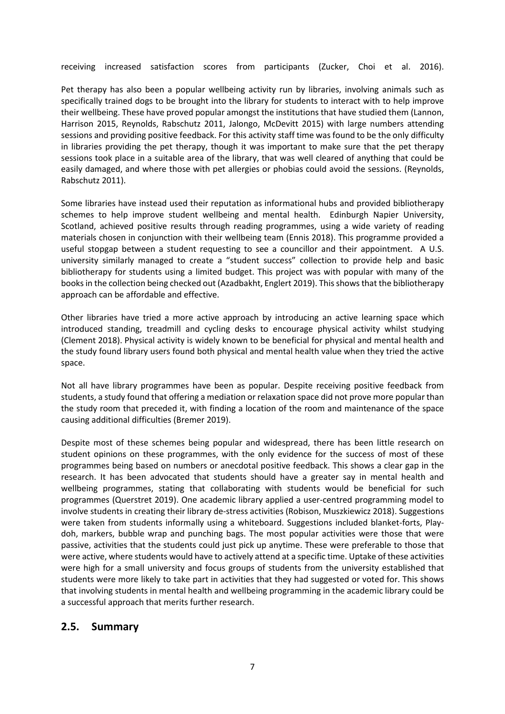receiving increased satisfaction scores from participants (Zucker, Choi et al. 2016).

Pet therapy has also been a popular wellbeing activity run by libraries, involving animals such as specifically trained dogs to be brought into the library for students to interact with to help improve their wellbeing. These have proved popular amongst the institutions that have studied them (Lannon, Harrison 2015, Reynolds, Rabschutz 2011, Jalongo, McDevitt 2015) with large numbers attending sessions and providing positive feedback. For this activity staff time was found to be the only difficulty in libraries providing the pet therapy, though it was important to make sure that the pet therapy sessions took place in a suitable area of the library, that was well cleared of anything that could be easily damaged, and where those with pet allergies or phobias could avoid the sessions. (Reynolds, Rabschutz 2011).

Some libraries have instead used their reputation as informational hubs and provided bibliotherapy schemes to help improve student wellbeing and mental health. Edinburgh Napier University, Scotland, achieved positive results through reading programmes, using a wide variety of reading materials chosen in conjunction with their wellbeing team (Ennis 2018). This programme provided a useful stopgap between a student requesting to see a councillor and their appointment. A U.S. university similarly managed to create a "student success" collection to provide help and basic bibliotherapy for students using a limited budget. This project was with popular with many of the books in the collection being checked out (Azadbakht, Englert 2019). This shows that the bibliotherapy approach can be affordable and effective.

Other libraries have tried a more active approach by introducing an active learning space which introduced standing, treadmill and cycling desks to encourage physical activity whilst studying (Clement 2018). Physical activity is widely known to be beneficial for physical and mental health and the study found library users found both physical and mental health value when they tried the active space.

Not all have library programmes have been as popular. Despite receiving positive feedback from students, a study found that offering a mediation or relaxation space did not prove more popular than the study room that preceded it, with finding a location of the room and maintenance of the space causing additional difficulties (Bremer 2019).

Despite most of these schemes being popular and widespread, there has been little research on student opinions on these programmes, with the only evidence for the success of most of these programmes being based on numbers or anecdotal positive feedback. This shows a clear gap in the research. It has been advocated that students should have a greater say in mental health and wellbeing programmes, stating that collaborating with students would be beneficial for such programmes (Querstret 2019). One academic library applied a user-centred programming model to involve students in creating their library de-stress activities (Robison, Muszkiewicz 2018). Suggestions were taken from students informally using a whiteboard. Suggestions included blanket-forts, Playdoh, markers, bubble wrap and punching bags. The most popular activities were those that were passive, activities that the students could just pick up anytime. These were preferable to those that were active, where students would have to actively attend at a specific time. Uptake of these activities were high for a small university and focus groups of students from the university established that students were more likely to take part in activities that they had suggested or voted for. This shows that involving students in mental health and wellbeing programming in the academic library could be a successful approach that merits further research.

### **2.5. Summary**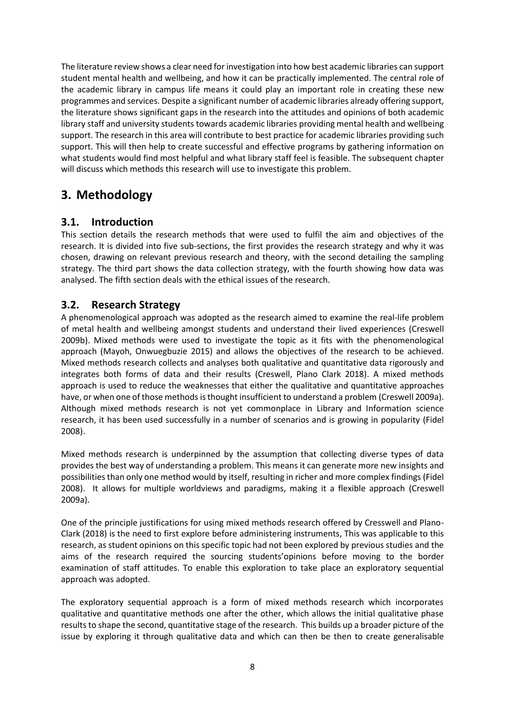The literature review shows a clear need forinvestigation into how best academic libraries can support student mental health and wellbeing, and how it can be practically implemented. The central role of the academic library in campus life means it could play an important role in creating these new programmes and services. Despite a significant number of academic libraries already offering support, the literature shows significant gaps in the research into the attitudes and opinions of both academic library staff and university students towards academic libraries providing mental health and wellbeing support. The research in this area will contribute to best practice for academic libraries providing such support. This will then help to create successful and effective programs by gathering information on what students would find most helpful and what library staff feel is feasible. The subsequent chapter will discuss which methods this research will use to investigate this problem.

# **3. Methodology**

## **3.1. Introduction**

This section details the research methods that were used to fulfil the aim and objectives of the research. It is divided into five sub-sections, the first provides the research strategy and why it was chosen, drawing on relevant previous research and theory, with the second detailing the sampling strategy. The third part shows the data collection strategy, with the fourth showing how data was analysed. The fifth section deals with the ethical issues of the research.

### **3.2. Research Strategy**

A phenomenological approach was adopted as the research aimed to examine the real-life problem of metal health and wellbeing amongst students and understand their lived experiences (Creswell 2009b). Mixed methods were used to investigate the topic as it fits with the phenomenological approach (Mayoh, Onwuegbuzie 2015) and allows the objectives of the research to be achieved. Mixed methods research collects and analyses both qualitative and quantitative data rigorously and integrates both forms of data and their results (Creswell, Plano Clark 2018). A mixed methods approach is used to reduce the weaknesses that either the qualitative and quantitative approaches have, or when one of those methods is thought insufficient to understand a problem (Creswell 2009a). Although mixed methods research is not yet commonplace in Library and Information science research, it has been used successfully in a number of scenarios and is growing in popularity (Fidel 2008).

Mixed methods research is underpinned by the assumption that collecting diverse types of data provides the best way of understanding a problem. This means it can generate more new insights and possibilities than only one method would by itself, resulting in richer and more complex findings (Fidel 2008). It allows for multiple worldviews and paradigms, making it a flexible approach (Creswell 2009a).

One of the principle justifications for using mixed methods research offered by Cresswell and Plano-Clark (2018) is the need to first explore before administering instruments, This was applicable to this research, as student opinions on this specific topic had not been explored by previous studies and the aims of the research required the sourcing students'opinions before moving to the border examination of staff attitudes. To enable this exploration to take place an exploratory sequential approach was adopted.

The exploratory sequential approach is a form of mixed methods research which incorporates qualitative and quantitative methods one after the other, which allows the initial qualitative phase results to shape the second, quantitative stage of the research. This builds up a broader picture of the issue by exploring it through qualitative data and which can then be then to create generalisable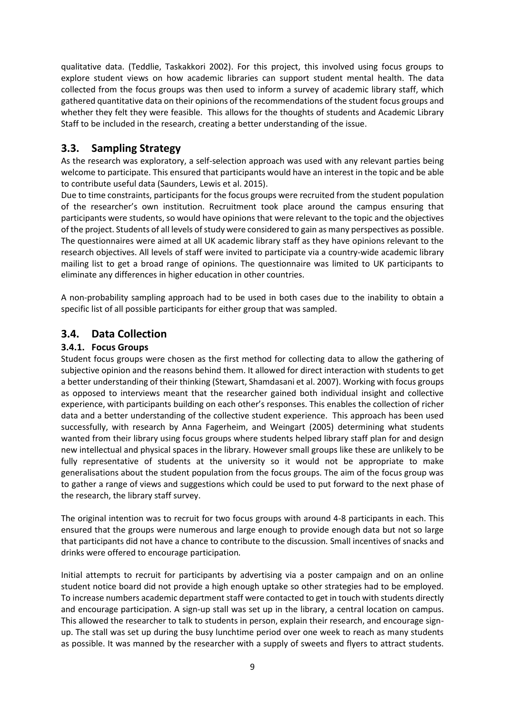qualitative data. (Teddlie, Taskakkori 2002). For this project, this involved using focus groups to explore student views on how academic libraries can support student mental health. The data collected from the focus groups was then used to inform a survey of academic library staff, which gathered quantitative data on their opinions of the recommendations of the student focus groups and whether they felt they were feasible. This allows for the thoughts of students and Academic Library Staff to be included in the research, creating a better understanding of the issue.

### **3.3. Sampling Strategy**

As the research was exploratory, a self-selection approach was used with any relevant parties being welcome to participate. This ensured that participants would have an interest in the topic and be able to contribute useful data (Saunders, Lewis et al. 2015).

Due to time constraints, participants for the focus groups were recruited from the student population of the researcher's own institution. Recruitment took place around the campus ensuring that participants were students, so would have opinions that were relevant to the topic and the objectives of the project. Students of all levels of study were considered to gain as many perspectives as possible. The questionnaires were aimed at all UK academic library staff as they have opinions relevant to the research objectives. All levels of staff were invited to participate via a country-wide academic library mailing list to get a broad range of opinions. The questionnaire was limited to UK participants to eliminate any differences in higher education in other countries.

A non-probability sampling approach had to be used in both cases due to the inability to obtain a specific list of all possible participants for either group that was sampled.

### **3.4. Data Collection**

#### **3.4.1. Focus Groups**

Student focus groups were chosen as the first method for collecting data to allow the gathering of subjective opinion and the reasons behind them. It allowed for direct interaction with students to get a better understanding of their thinking (Stewart, Shamdasani et al. 2007). Working with focus groups as opposed to interviews meant that the researcher gained both individual insight and collective experience, with participants building on each other's responses. This enables the collection of richer data and a better understanding of the collective student experience. This approach has been used successfully, with research by Anna Fagerheim, and Weingart (2005) determining what students wanted from their library using focus groups where students helped library staff plan for and design new intellectual and physical spaces in the library. However small groups like these are unlikely to be fully representative of students at the university so it would not be appropriate to make generalisations about the student population from the focus groups. The aim of the focus group was to gather a range of views and suggestions which could be used to put forward to the next phase of the research, the library staff survey.

The original intention was to recruit for two focus groups with around 4-8 participants in each. This ensured that the groups were numerous and large enough to provide enough data but not so large that participants did not have a chance to contribute to the discussion*.* Small incentives of snacks and drinks were offered to encourage participation*.*

Initial attempts to recruit for participants by advertising via a poster campaign and on an online student notice board did not provide a high enough uptake so other strategies had to be employed. To increase numbers academic department staff were contacted to get in touch with students directly and encourage participation. A sign-up stall was set up in the library, a central location on campus. This allowed the researcher to talk to students in person, explain their research, and encourage signup. The stall was set up during the busy lunchtime period over one week to reach as many students as possible. It was manned by the researcher with a supply of sweets and flyers to attract students.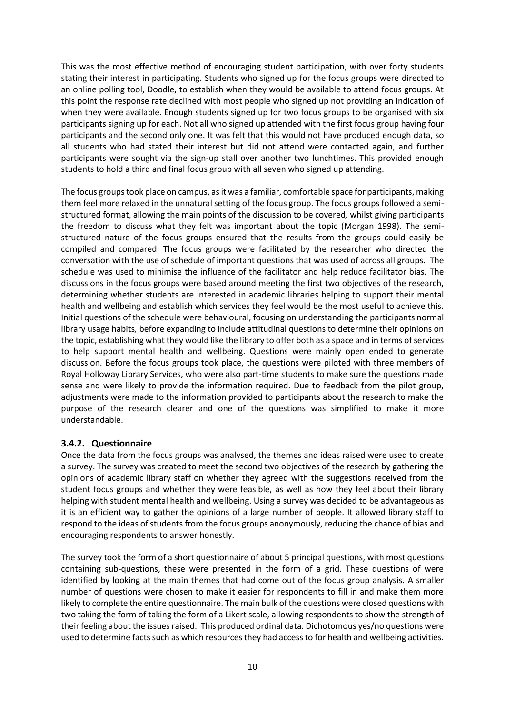This was the most effective method of encouraging student participation, with over forty students stating their interest in participating. Students who signed up for the focus groups were directed to an online polling tool, Doodle, to establish when they would be available to attend focus groups. At this point the response rate declined with most people who signed up not providing an indication of when they were available. Enough students signed up for two focus groups to be organised with six participants signing up for each. Not all who signed up attended with the first focus group having four participants and the second only one. It was felt that this would not have produced enough data, so all students who had stated their interest but did not attend were contacted again, and further participants were sought via the sign-up stall over another two lunchtimes. This provided enough students to hold a third and final focus group with all seven who signed up attending.

The focus groups took place on campus, as it was a familiar, comfortable space for participants, making them feel more relaxed in the unnatural setting of the focus group. The focus groups followed a semistructured format, allowing the main points of the discussion to be covered*,* whilst giving participants the freedom to discuss what they felt was important about the topic (Morgan 1998). The semistructured nature of the focus groups ensured that the results from the groups could easily be compiled and compared. The focus groups were facilitated by the researcher who directed the conversation with the use of schedule of important questions that was used of across all groups. The schedule was used to minimise the influence of the facilitator and help reduce facilitator bias*.* The discussions in the focus groups were based around meeting the first two objectives of the research, determining whether students are interested in academic libraries helping to support their mental health and wellbeing and establish which services they feel would be the most useful to achieve this. Initial questions of the schedule were behavioural, focusing on understanding the participants normal library usage habits*,* before expanding to include attitudinal questions to determine their opinions on the topic, establishing what they would like the library to offer both as a space and in terms of services to help support mental health and wellbeing. Questions were mainly open ended to generate discussion. Before the focus groups took place, the questions were piloted with three members of Royal Holloway Library Services, who were also part-time students to make sure the questions made sense and were likely to provide the information required. Due to feedback from the pilot group, adjustments were made to the information provided to participants about the research to make the purpose of the research clearer and one of the questions was simplified to make it more understandable.

#### **3.4.2. Questionnaire**

Once the data from the focus groups was analysed, the themes and ideas raised were used to create a survey. The survey was created to meet the second two objectives of the research by gathering the opinions of academic library staff on whether they agreed with the suggestions received from the student focus groups and whether they were feasible, as well as how they feel about their library helping with student mental health and wellbeing. Using a survey was decided to be advantageous as it is an efficient way to gather the opinions of a large number of people. It allowed library staff to respond to the ideas of students from the focus groups anonymously, reducing the chance of bias and encouraging respondents to answer honestly.

The survey took the form of a short questionnaire of about 5 principal questions, with most questions containing sub-questions, these were presented in the form of a grid. These questions of were identified by looking at the main themes that had come out of the focus group analysis. A smaller number of questions were chosen to make it easier for respondents to fill in and make them more likely to complete the entire questionnaire. The main bulk of the questions were closed questions with two taking the form of taking the form of a Likert scale, allowing respondents to show the strength of their feeling about the issues raised. This produced ordinal data. Dichotomous yes/no questions were used to determine facts such as which resources they had access to for health and wellbeing activities.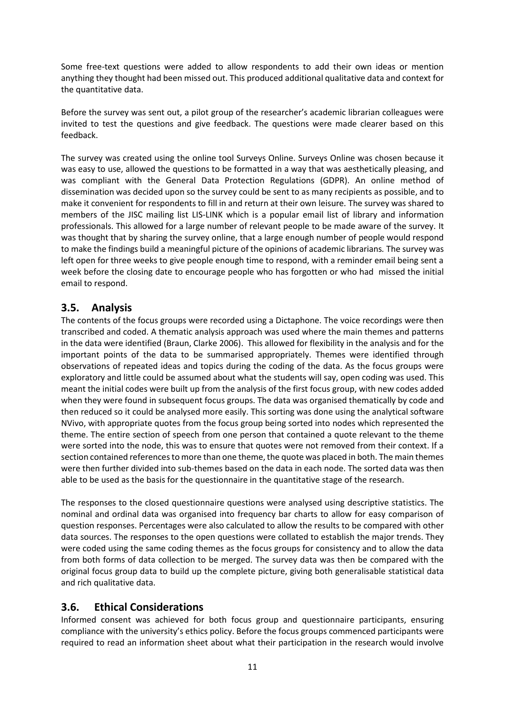Some free-text questions were added to allow respondents to add their own ideas or mention anything they thought had been missed out. This produced additional qualitative data and context for the quantitative data.

Before the survey was sent out, a pilot group of the researcher's academic librarian colleagues were invited to test the questions and give feedback. The questions were made clearer based on this feedback.

The survey was created using the online tool Surveys Online. Surveys Online was chosen because it was easy to use, allowed the questions to be formatted in a way that was aesthetically pleasing, and was compliant with the General Data Protection Regulations (GDPR). An online method of dissemination was decided upon so the survey could be sent to as many recipients as possible, and to make it convenient for respondents to fill in and return at their own leisure*.* The survey was shared to members of the JISC mailing list LIS-LINK which is a popular email list of library and information professionals. This allowed for a large number of relevant people to be made aware of the survey. It was thought that by sharing the survey online, that a large enough number of people would respond to make the findings build a meaningful picture of the opinions of academic librarians*.* The survey was left open for three weeks to give people enough time to respond, with a reminder email being sent a week before the closing date to encourage people who has forgotten or who had missed the initial email to respond.

### **3.5. Analysis**

The contents of the focus groups were recorded using a Dictaphone. The voice recordings were then transcribed and coded. A thematic analysis approach was used where the main themes and patterns in the data were identified (Braun, Clarke 2006). This allowed for flexibility in the analysis and for the important points of the data to be summarised appropriately. Themes were identified through observations of repeated ideas and topics during the coding of the data. As the focus groups were exploratory and little could be assumed about what the students will say, open coding was used. This meant the initial codes were built up from the analysis of the first focus group, with new codes added when they were found in subsequent focus groups. The data was organised thematically by code and then reduced so it could be analysed more easily. This sorting was done using the analytical software NVivo, with appropriate quotes from the focus group being sorted into nodes which represented the theme. The entire section of speech from one person that contained a quote relevant to the theme were sorted into the node, this was to ensure that quotes were not removed from their context. If a section contained references to more than one theme, the quote was placed in both. The main themes were then further divided into sub-themes based on the data in each node. The sorted data was then able to be used as the basis for the questionnaire in the quantitative stage of the research.

The responses to the closed questionnaire questions were analysed using descriptive statistics. The nominal and ordinal data was organised into frequency bar charts to allow for easy comparison of question responses. Percentages were also calculated to allow the results to be compared with other data sources. The responses to the open questions were collated to establish the major trends. They were coded using the same coding themes as the focus groups for consistency and to allow the data from both forms of data collection to be merged. The survey data was then be compared with the original focus group data to build up the complete picture, giving both generalisable statistical data and rich qualitative data.

### **3.6. Ethical Considerations**

Informed consent was achieved for both focus group and questionnaire participants, ensuring compliance with the university's ethics policy. Before the focus groups commenced participants were required to read an information sheet about what their participation in the research would involve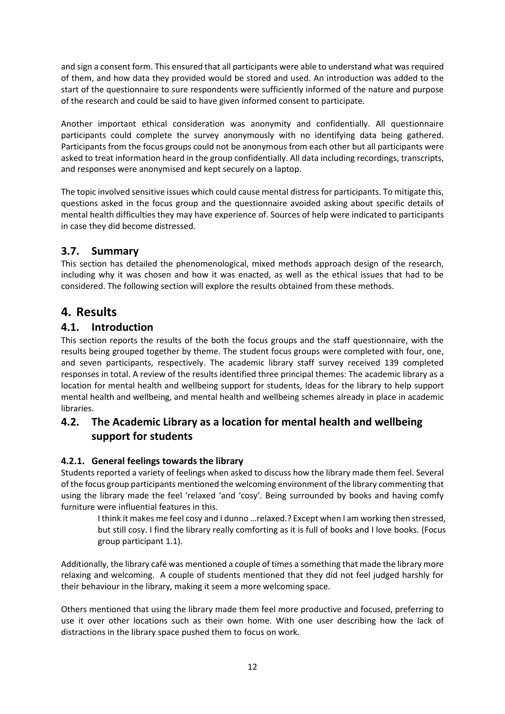and sign a consent form. This ensured that all participants were able to understand what was required of them, and how data they provided would be stored and used. An introduction was added to the start of the questionnaire to sure respondents were sufficiently informed of the nature and purpose of the research and could be said to have given informed consent to participate.

Another important ethical consideration was anonymity and confidentially. All questionnaire participants could complete the survey anonymously with no identifying data being gathered. Participants from the focus groups could not be anonymous from each other but all participants were asked to treat information heard in the group confidentially. All data including recordings, transcripts, and responses were anonymised and kept securely on a laptop.

The topic involved sensitive issues which could cause mental distress for participants. To mitigate this, questions asked in the focus group and the questionnaire avoided asking about specific details of mental health difficulties they may have experience of. Sources of help were indicated to participants in case they did become distressed.

## **3.7. Summary**

This section has detailed the phenomenological, mixed methods approach design of the research, including why it was chosen and how it was enacted, as well as the ethical issues that had to be considered. The following section will explore the results obtained from these methods.

# **4. Results**

### **4.1. Introduction**

This section reports the results of the both the focus groups and the staff questionnaire, with the results being grouped together by theme. The student focus groups were completed with four, one, and seven participants, respectively. The academic library staff survey received 139 completed responses in total. A review of the results identified three principal themes: The academic library as a location for mental health and wellbeing support for students, Ideas for the library to help support mental health and wellbeing, and mental health and wellbeing schemes already in place in academic libraries.

## **4.2. The Academic Library as a location for mental health and wellbeing support for students**

### **4.2.1. General feelings towards the library**

Students reported a variety of feelings when asked to discuss how the library made them feel. Several of the focus group participants mentioned the welcoming environment of the library commenting that using the library made the feel 'relaxed 'and 'cosy'. Being surrounded by books and having comfy furniture were influential features in this.

I think it makes me feel cosy and I dunno …relaxed.? Except when I am working then stressed, but still cosy. I find the library really comforting as it is full of books and I love books. (Focus group participant 1.1).

Additionally, the library café was mentioned a couple of times a something that made the library more relaxing and welcoming. A couple of students mentioned that they did not feel judged harshly for their behaviour in the library, making it seem a more welcoming space.

Others mentioned that using the library made them feel more productive and focused, preferring to use it over other locations such as their own home. With one user describing how the lack of distractions in the library space pushed them to focus on work.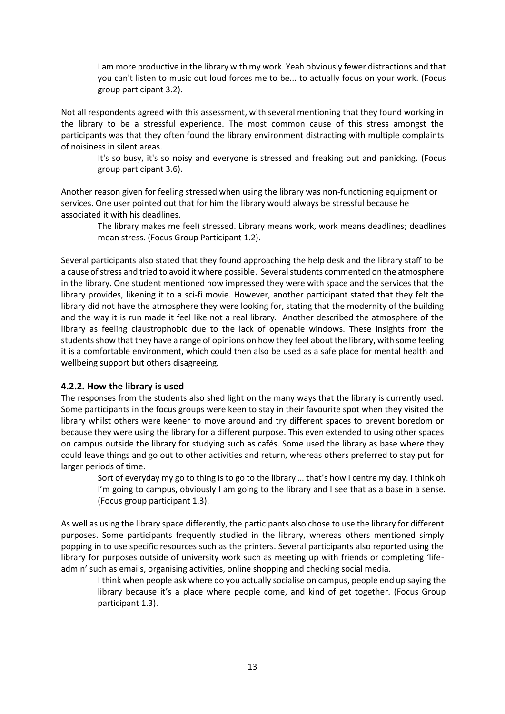I am more productive in the library with my work. Yeah obviously fewer distractions and that you can't listen to music out loud forces me to be... to actually focus on your work. (Focus group participant 3.2).

Not all respondents agreed with this assessment, with several mentioning that they found working in the library to be a stressful experience. The most common cause of this stress amongst the participants was that they often found the library environment distracting with multiple complaints of noisiness in silent areas.

It's so busy, it's so noisy and everyone is stressed and freaking out and panicking. (Focus group participant 3.6).

Another reason given for feeling stressed when using the library was non-functioning equipment or services. One user pointed out that for him the library would always be stressful because he associated it with his deadlines.

The library makes me feel) stressed. Library means work, work means deadlines; deadlines mean stress. (Focus Group Participant 1.2).

Several participants also stated that they found approaching the help desk and the library staff to be a cause of stress and tried to avoid it where possible. Several students commented on the atmosphere in the library. One student mentioned how impressed they were with space and the services that the library provides, likening it to a sci-fi movie. However, another participant stated that they felt the library did not have the atmosphere they were looking for, stating that the modernity of the building and the way it is run made it feel like not a real library. Another described the atmosphere of the library as feeling claustrophobic due to the lack of openable windows. These insights from the students show that they have a range of opinions on how they feel about the library, with some feeling it is a comfortable environment, which could then also be used as a safe place for mental health and wellbeing support but others disagreeing*.* 

#### **4.2.2. How the library is used**

The responses from the students also shed light on the many ways that the library is currently used. Some participants in the focus groups were keen to stay in their favourite spot when they visited the library whilst others were keener to move around and try different spaces to prevent boredom or because they were using the library for a different purpose. This even extended to using other spaces on campus outside the library for studying such as cafés. Some used the library as base where they could leave things and go out to other activities and return, whereas others preferred to stay put for larger periods of time.

Sort of everyday my go to thing is to go to the library … that's how I centre my day. I think oh I'm going to campus, obviously I am going to the library and I see that as a base in a sense. (Focus group participant 1.3).

As well as using the library space differently, the participants also chose to use the library for different purposes. Some participants frequently studied in the library, whereas others mentioned simply popping in to use specific resources such as the printers. Several participants also reported using the library for purposes outside of university work such as meeting up with friends or completing 'lifeadmin' such as emails, organising activities, online shopping and checking social media.

I think when people ask where do you actually socialise on campus, people end up saying the library because it's a place where people come, and kind of get together. (Focus Group participant 1.3).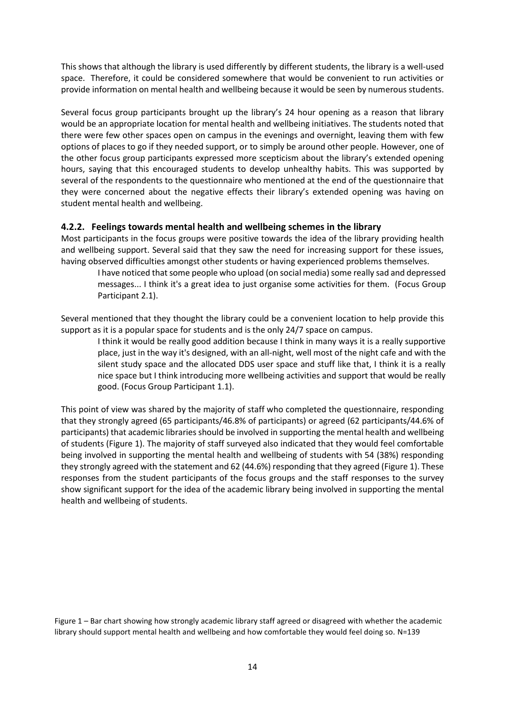This shows that although the library is used differently by different students, the library is a well-used space. Therefore, it could be considered somewhere that would be convenient to run activities or provide information on mental health and wellbeing because it would be seen by numerous students.

Several focus group participants brought up the library's 24 hour opening as a reason that library would be an appropriate location for mental health and wellbeing initiatives. The students noted that there were few other spaces open on campus in the evenings and overnight, leaving them with few options of places to go if they needed support, or to simply be around other people. However, one of the other focus group participants expressed more scepticism about the library's extended opening hours, saying that this encouraged students to develop unhealthy habits. This was supported by several of the respondents to the questionnaire who mentioned at the end of the questionnaire that they were concerned about the negative effects their library's extended opening was having on student mental health and wellbeing.

#### **4.2.2. Feelings towards mental health and wellbeing schemes in the library**

Most participants in the focus groups were positive towards the idea of the library providing health and wellbeing support. Several said that they saw the need for increasing support for these issues, having observed difficulties amongst other students or having experienced problems themselves.

I have noticed that some people who upload (on social media) some really sad and depressed messages... I think it's a great idea to just organise some activities for them. (Focus Group Participant 2.1).

Several mentioned that they thought the library could be a convenient location to help provide this support as it is a popular space for students and is the only 24/7 space on campus.

I think it would be really good addition because I think in many ways it is a really supportive place, just in the way it's designed, with an all-night, well most of the night cafe and with the silent study space and the allocated DDS user space and stuff like that, I think it is a really nice space but I think introducing more wellbeing activities and support that would be really good. (Focus Group Participant 1.1).

This point of view was shared by the majority of staff who completed the questionnaire, responding that they strongly agreed (65 participants/46.8% of participants) or agreed (62 participants/44.6% of participants) that academic libraries should be involved in supporting the mental health and wellbeing of students (Figure 1). The majority of staff surveyed also indicated that they would feel comfortable being involved in supporting the mental health and wellbeing of students with 54 (38%) responding they strongly agreed with the statement and 62 (44.6%) responding that they agreed (Figure 1). These responses from the student participants of the focus groups and the staff responses to the survey show significant support for the idea of the academic library being involved in supporting the mental health and wellbeing of students.

Figure 1 – Bar chart showing how strongly academic library staff agreed or disagreed with whether the academic library should support mental health and wellbeing and how comfortable they would feel doing so. N=139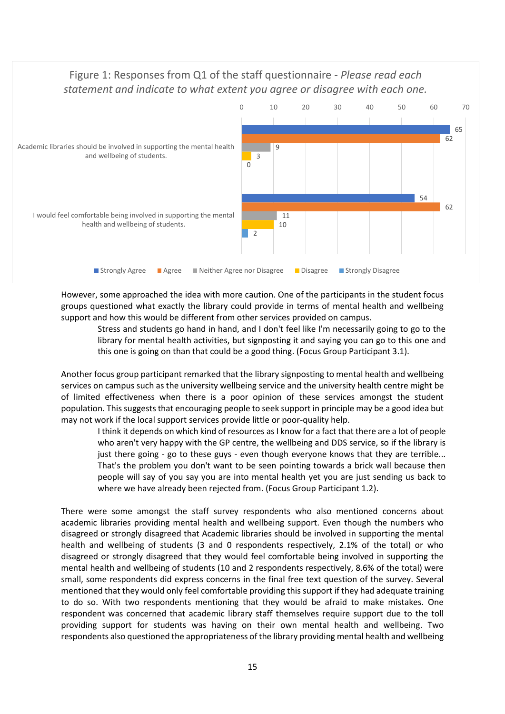# Figure 1: Responses from Q1 of the staff questionnaire - *Please read each statement and indicate to what extent you agree or disagree with each one.*



However, some approached the idea with more caution. One of the participants in the student focus groups questioned what exactly the library could provide in terms of mental health and wellbeing support and how this would be different from other services provided on campus.

Stress and students go hand in hand, and I don't feel like I'm necessarily going to go to the library for mental health activities, but signposting it and saying you can go to this one and this one is going on than that could be a good thing. (Focus Group Participant 3.1).

Another focus group participant remarked that the library signposting to mental health and wellbeing services on campus such as the university wellbeing service and the university health centre might be of limited effectiveness when there is a poor opinion of these services amongst the student population. This suggests that encouraging people to seek support in principle may be a good idea but may not work if the local support services provide little or poor-quality help.

I think it depends on which kind of resources as I know for a fact that there are a lot of people who aren't very happy with the GP centre, the wellbeing and DDS service, so if the library is just there going - go to these guys - even though everyone knows that they are terrible... That's the problem you don't want to be seen pointing towards a brick wall because then people will say of you say you are into mental health yet you are just sending us back to where we have already been rejected from. (Focus Group Participant 1.2).

There were some amongst the staff survey respondents who also mentioned concerns about academic libraries providing mental health and wellbeing support. Even though the numbers who disagreed or strongly disagreed that Academic libraries should be involved in supporting the mental health and wellbeing of students (3 and 0 respondents respectively, 2.1% of the total) or who disagreed or strongly disagreed that they would feel comfortable being involved in supporting the mental health and wellbeing of students (10 and 2 respondents respectively, 8.6% of the total) were small, some respondents did express concerns in the final free text question of the survey. Several mentioned that they would only feel comfortable providing this support if they had adequate training to do so. With two respondents mentioning that they would be afraid to make mistakes. One respondent was concerned that academic library staff themselves require support due to the toll providing support for students was having on their own mental health and wellbeing. Two respondents also questioned the appropriateness of the library providing mental health and wellbeing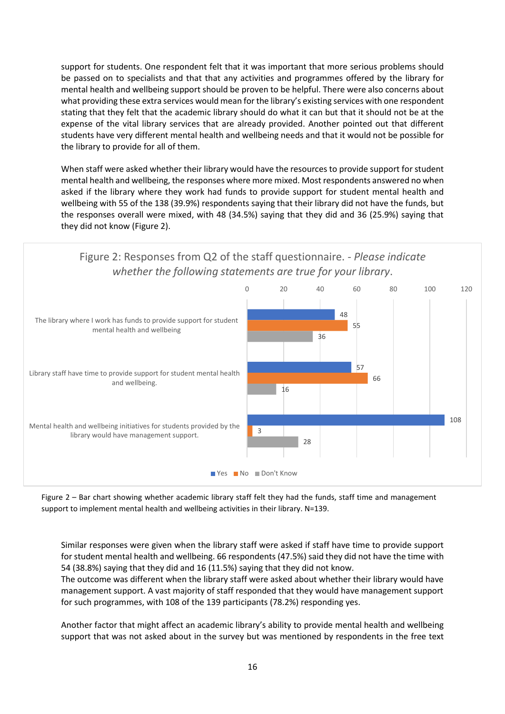support for students. One respondent felt that it was important that more serious problems should be passed on to specialists and that that any activities and programmes offered by the library for mental health and wellbeing support should be proven to be helpful. There were also concerns about what providing these extra services would mean for the library's existing services with one respondent stating that they felt that the academic library should do what it can but that it should not be at the expense of the vital library services that are already provided. Another pointed out that different students have very different mental health and wellbeing needs and that it would not be possible for the library to provide for all of them.

When staff were asked whether their library would have the resources to provide support for student mental health and wellbeing, the responses where more mixed. Most respondents answered no when asked if the library where they work had funds to provide support for student mental health and wellbeing with 55 of the 138 (39.9%) respondents saying that their library did not have the funds, but the responses overall were mixed, with 48 (34.5%) saying that they did and 36 (25.9%) saying that they did not know (Figure 2).



Figure 2 – Bar chart showing whether academic library staff felt they had the funds, staff time and management support to implement mental health and wellbeing activities in their library. N=139.

Similar responses were given when the library staff were asked if staff have time to provide support for student mental health and wellbeing. 66 respondents (47.5%) said they did not have the time with 54 (38.8%) saying that they did and 16 (11.5%) saying that they did not know.

The outcome was different when the library staff were asked about whether their library would have management support. A vast majority of staff responded that they would have management support for such programmes, with 108 of the 139 participants (78.2%) responding yes.

Another factor that might affect an academic library's ability to provide mental health and wellbeing support that was not asked about in the survey but was mentioned by respondents in the free text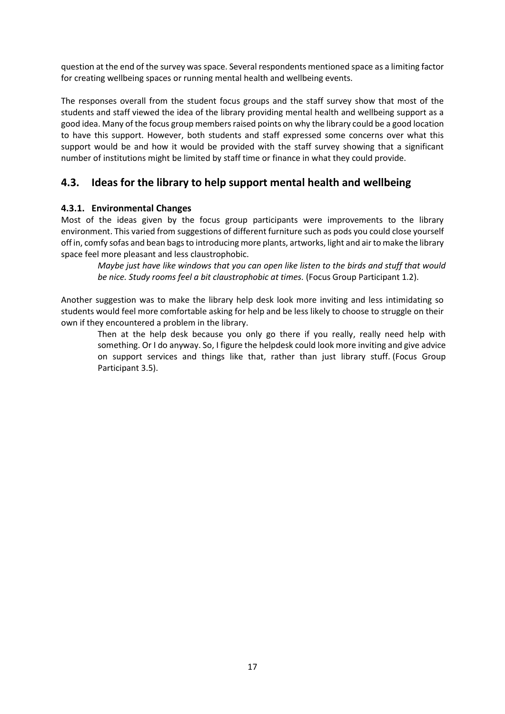question at the end of the survey was space. Several respondents mentioned space as a limiting factor for creating wellbeing spaces or running mental health and wellbeing events.

The responses overall from the student focus groups and the staff survey show that most of the students and staff viewed the idea of the library providing mental health and wellbeing support as a good idea. Many of the focus group members raised points on why the library could be a good location to have this support. However, both students and staff expressed some concerns over what this support would be and how it would be provided with the staff survey showing that a significant number of institutions might be limited by staff time or finance in what they could provide.

### **4.3. Ideas for the library to help support mental health and wellbeing**

#### **4.3.1. Environmental Changes**

Most of the ideas given by the focus group participants were improvements to the library environment. This varied from suggestions of different furniture such as pods you could close yourself off in, comfy sofas and bean bags to introducing more plants, artworks, light and air to make the library space feel more pleasant and less claustrophobic.

*Maybe just have like windows that you can open like listen to the birds and stuff that would be nice. Study rooms feel a bit claustrophobic at times.* (Focus Group Participant 1.2).

Another suggestion was to make the library help desk look more inviting and less intimidating so students would feel more comfortable asking for help and be less likely to choose to struggle on their own if they encountered a problem in the library.

Then at the help desk because you only go there if you really, really need help with something. Or I do anyway. So, I figure the helpdesk could look more inviting and give advice on support services and things like that, rather than just library stuff. (Focus Group Participant 3.5).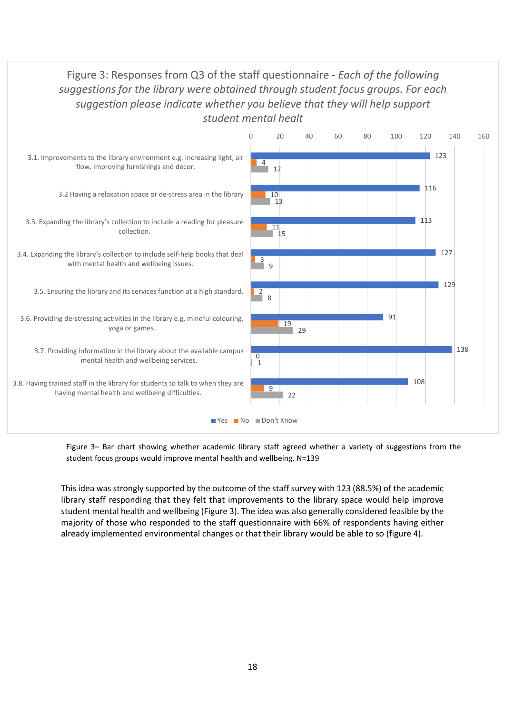# Figure 3: Responses from Q3 of the staff questionnaire - *Each of the following suggestions for the library were obtained through student focus groups. For each suggestion please indicate whether you believe that they will help support student mental healt*



Figure 3– Bar chart showing whether academic library staff agreed whether a variety of suggestions from the student focus groups would improve mental health and wellbeing. N=139

This idea was strongly supported by the outcome of the staff survey with 123 (88.5%) of the academic library staff responding that they felt that improvements to the library space would help improve student mental health and wellbeing (Figure 3). The idea was also generally considered feasible by the majority of those who responded to the staff questionnaire with 66% of respondents having either already implemented environmental changes or that their library would be able to so (figure 4).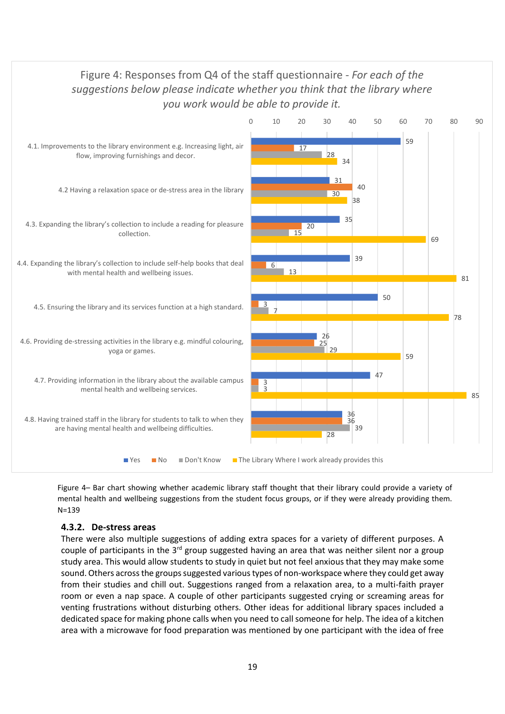

Figure 4– Bar chart showing whether academic library staff thought that their library could provide a variety of mental health and wellbeing suggestions from the student focus groups, or if they were already providing them. N=139

#### **4.3.2. De-stress areas**

There were also multiple suggestions of adding extra spaces for a variety of different purposes. A couple of participants in the 3<sup>rd</sup> group suggested having an area that was neither silent nor a group study area. This would allow students to study in quiet but not feel anxious that they may make some sound. Others across the groups suggested various types of non-workspace where they could get away from their studies and chill out. Suggestions ranged from a relaxation area, to a multi-faith prayer room or even a nap space. A couple of other participants suggested crying or screaming areas for venting frustrations without disturbing others. Other ideas for additional library spaces included a dedicated space for making phone calls when you need to call someone for help. The idea of a kitchen area with a microwave for food preparation was mentioned by one participant with the idea of free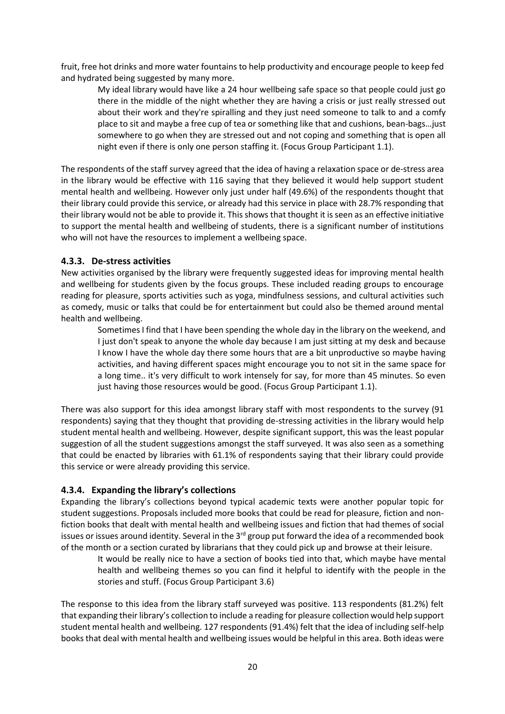fruit, free hot drinks and more water fountains to help productivity and encourage people to keep fed and hydrated being suggested by many more.

My ideal library would have like a 24 hour wellbeing safe space so that people could just go there in the middle of the night whether they are having a crisis or just really stressed out about their work and they're spiralling and they just need someone to talk to and a comfy place to sit and maybe a free cup of tea or something like that and cushions, bean-bags…just somewhere to go when they are stressed out and not coping and something that is open all night even if there is only one person staffing it. (Focus Group Participant 1.1).

The respondents of the staff survey agreed that the idea of having a relaxation space or de-stress area in the library would be effective with 116 saying that they believed it would help support student mental health and wellbeing. However only just under half (49.6%) of the respondents thought that their library could provide this service, or already had this service in place with 28.7% responding that their library would not be able to provide it. This shows that thought it is seen as an effective initiative to support the mental health and wellbeing of students, there is a significant number of institutions who will not have the resources to implement a wellbeing space.

#### **4.3.3. De-stress activities**

New activities organised by the library were frequently suggested ideas for improving mental health and wellbeing for students given by the focus groups. These included reading groups to encourage reading for pleasure, sports activities such as yoga, mindfulness sessions, and cultural activities such as comedy, music or talks that could be for entertainment but could also be themed around mental health and wellbeing.

Sometimes I find that I have been spending the whole day in the library on the weekend, and I just don't speak to anyone the whole day because I am just sitting at my desk and because I know I have the whole day there some hours that are a bit unproductive so maybe having activities, and having different spaces might encourage you to not sit in the same space for a long time.. it's very difficult to work intensely for say, for more than 45 minutes. So even just having those resources would be good. (Focus Group Participant 1.1).

There was also support for this idea amongst library staff with most respondents to the survey (91 respondents) saying that they thought that providing de-stressing activities in the library would help student mental health and wellbeing. However, despite significant support, this was the least popular suggestion of all the student suggestions amongst the staff surveyed. It was also seen as a something that could be enacted by libraries with 61.1% of respondents saying that their library could provide this service or were already providing this service.

### **4.3.4. Expanding the library's collections**

Expanding the library's collections beyond typical academic texts were another popular topic for student suggestions. Proposals included more books that could be read for pleasure, fiction and nonfiction books that dealt with mental health and wellbeing issues and fiction that had themes of social issues or issues around identity. Several in the 3<sup>rd</sup> group put forward the idea of a recommended book of the month or a section curated by librarians that they could pick up and browse at their leisure.

It would be really nice to have a section of books tied into that, which maybe have mental health and wellbeing themes so you can find it helpful to identify with the people in the stories and stuff. (Focus Group Participant 3.6)

The response to this idea from the library staff surveyed was positive. 113 respondents (81.2%) felt that expanding their library's collection to include a reading for pleasure collection would help support student mental health and wellbeing. 127 respondents (91.4%) felt that the idea of including self-help books that deal with mental health and wellbeing issues would be helpful in this area. Both ideas were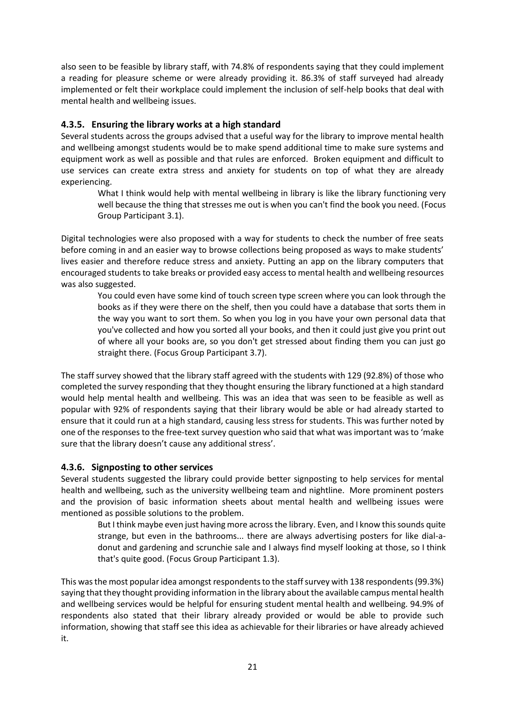also seen to be feasible by library staff, with 74.8% of respondents saying that they could implement a reading for pleasure scheme or were already providing it. 86.3% of staff surveyed had already implemented or felt their workplace could implement the inclusion of self-help books that deal with mental health and wellbeing issues.

### **4.3.5. Ensuring the library works at a high standard**

Several students across the groups advised that a useful way for the library to improve mental health and wellbeing amongst students would be to make spend additional time to make sure systems and equipment work as well as possible and that rules are enforced. Broken equipment and difficult to use services can create extra stress and anxiety for students on top of what they are already experiencing.

What I think would help with mental wellbeing in library is like the library functioning very well because the thing that stresses me out is when you can't find the book you need. (Focus Group Participant 3.1).

Digital technologies were also proposed with a way for students to check the number of free seats before coming in and an easier way to browse collections being proposed as ways to make students' lives easier and therefore reduce stress and anxiety. Putting an app on the library computers that encouraged students to take breaks or provided easy access to mental health and wellbeing resources was also suggested.

You could even have some kind of touch screen type screen where you can look through the books as if they were there on the shelf, then you could have a database that sorts them in the way you want to sort them. So when you log in you have your own personal data that you've collected and how you sorted all your books, and then it could just give you print out of where all your books are, so you don't get stressed about finding them you can just go straight there. (Focus Group Participant 3.7).

The staff survey showed that the library staff agreed with the students with 129 (92.8%) of those who completed the survey responding that they thought ensuring the library functioned at a high standard would help mental health and wellbeing. This was an idea that was seen to be feasible as well as popular with 92% of respondents saying that their library would be able or had already started to ensure that it could run at a high standard, causing less stress for students. This was further noted by one of the responses to the free-text survey question who said that what was important was to 'make sure that the library doesn't cause any additional stress'.

#### **4.3.6. Signposting to other services**

Several students suggested the library could provide better signposting to help services for mental health and wellbeing, such as the university wellbeing team and nightline. More prominent posters and the provision of basic information sheets about mental health and wellbeing issues were mentioned as possible solutions to the problem.

But I think maybe even just having more across the library. Even, and I know this sounds quite strange, but even in the bathrooms... there are always advertising posters for like dial-adonut and gardening and scrunchie sale and I always find myself looking at those, so I think that's quite good. (Focus Group Participant 1.3).

This was the most popular idea amongst respondents to the staff survey with 138 respondents (99.3%) saying that they thought providing information in the library about the available campus mental health and wellbeing services would be helpful for ensuring student mental health and wellbeing. 94.9% of respondents also stated that their library already provided or would be able to provide such information, showing that staff see this idea as achievable for their libraries or have already achieved it.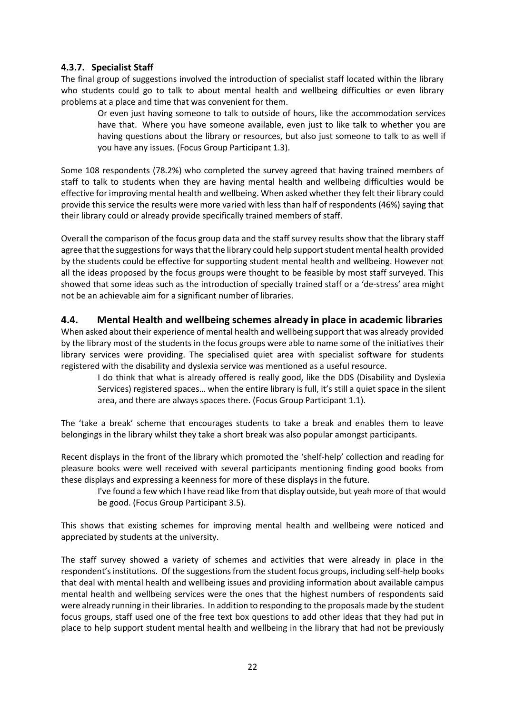#### **4.3.7. Specialist Staff**

The final group of suggestions involved the introduction of specialist staff located within the library who students could go to talk to about mental health and wellbeing difficulties or even library problems at a place and time that was convenient for them.

Or even just having someone to talk to outside of hours, like the accommodation services have that. Where you have someone available, even just to like talk to whether you are having questions about the library or resources, but also just someone to talk to as well if you have any issues. (Focus Group Participant 1.3).

Some 108 respondents (78.2%) who completed the survey agreed that having trained members of staff to talk to students when they are having mental health and wellbeing difficulties would be effective for improving mental health and wellbeing. When asked whether they felt their library could provide this service the results were more varied with less than half of respondents (46%) saying that their library could or already provide specifically trained members of staff.

Overall the comparison of the focus group data and the staff survey results show that the library staff agree that the suggestions for ways that the library could help support student mental health provided by the students could be effective for supporting student mental health and wellbeing. However not all the ideas proposed by the focus groups were thought to be feasible by most staff surveyed. This showed that some ideas such as the introduction of specially trained staff or a 'de-stress' area might not be an achievable aim for a significant number of libraries.

### **4.4. Mental Health and wellbeing schemes already in place in academic libraries**

When asked about their experience of mental health and wellbeing support that was already provided by the library most of the students in the focus groups were able to name some of the initiatives their library services were providing. The specialised quiet area with specialist software for students registered with the disability and dyslexia service was mentioned as a useful resource.

I do think that what is already offered is really good, like the DDS (Disability and Dyslexia Services) registered spaces… when the entire library is full, it's still a quiet space in the silent area, and there are always spaces there. (Focus Group Participant 1.1).

The 'take a break' scheme that encourages students to take a break and enables them to leave belongings in the library whilst they take a short break was also popular amongst participants.

Recent displays in the front of the library which promoted the 'shelf-help' collection and reading for pleasure books were well received with several participants mentioning finding good books from these displays and expressing a keenness for more of these displays in the future.

I've found a few which I have read like from that display outside, but yeah more of that would be good. (Focus Group Participant 3.5).

This shows that existing schemes for improving mental health and wellbeing were noticed and appreciated by students at the university.

The staff survey showed a variety of schemes and activities that were already in place in the respondent's institutions. Of the suggestions from the student focus groups, including self-help books that deal with mental health and wellbeing issues and providing information about available campus mental health and wellbeing services were the ones that the highest numbers of respondents said were already running in their libraries. In addition to responding to the proposals made by the student focus groups, staff used one of the free text box questions to add other ideas that they had put in place to help support student mental health and wellbeing in the library that had not be previously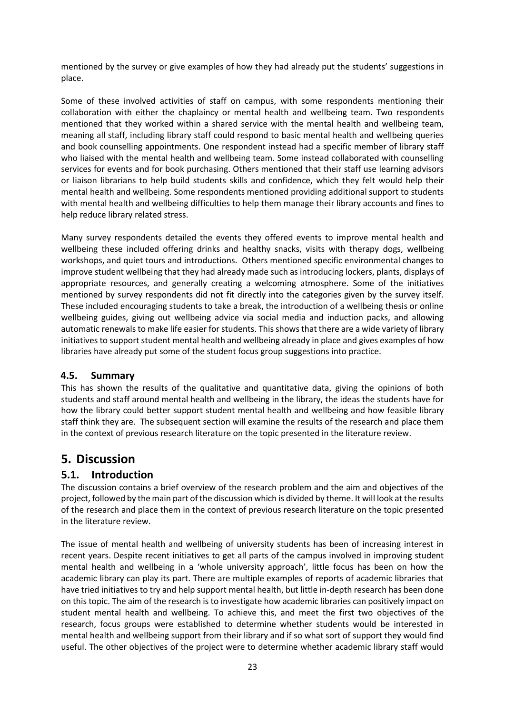mentioned by the survey or give examples of how they had already put the students' suggestions in place.

Some of these involved activities of staff on campus, with some respondents mentioning their collaboration with either the chaplaincy or mental health and wellbeing team. Two respondents mentioned that they worked within a shared service with the mental health and wellbeing team, meaning all staff, including library staff could respond to basic mental health and wellbeing queries and book counselling appointments. One respondent instead had a specific member of library staff who liaised with the mental health and wellbeing team. Some instead collaborated with counselling services for events and for book purchasing. Others mentioned that their staff use learning advisors or liaison librarians to help build students skills and confidence, which they felt would help their mental health and wellbeing. Some respondents mentioned providing additional support to students with mental health and wellbeing difficulties to help them manage their library accounts and fines to help reduce library related stress.

Many survey respondents detailed the events they offered events to improve mental health and wellbeing these included offering drinks and healthy snacks, visits with therapy dogs, wellbeing workshops, and quiet tours and introductions. Others mentioned specific environmental changes to improve student wellbeing that they had already made such as introducing lockers, plants, displays of appropriate resources, and generally creating a welcoming atmosphere. Some of the initiatives mentioned by survey respondents did not fit directly into the categories given by the survey itself. These included encouraging students to take a break, the introduction of a wellbeing thesis or online wellbeing guides, giving out wellbeing advice via social media and induction packs, and allowing automatic renewals to make life easier for students. This shows that there are a wide variety of library initiatives to support student mental health and wellbeing already in place and gives examples of how libraries have already put some of the student focus group suggestions into practice.

#### **4.5. Summary**

This has shown the results of the qualitative and quantitative data, giving the opinions of both students and staff around mental health and wellbeing in the library, the ideas the students have for how the library could better support student mental health and wellbeing and how feasible library staff think they are. The subsequent section will examine the results of the research and place them in the context of previous research literature on the topic presented in the literature review.

# **5. Discussion**

### **5.1. Introduction**

The discussion contains a brief overview of the research problem and the aim and objectives of the project, followed by the main part of the discussion which is divided by theme. It will look at the results of the research and place them in the context of previous research literature on the topic presented in the literature review.

The issue of mental health and wellbeing of university students has been of increasing interest in recent years. Despite recent initiatives to get all parts of the campus involved in improving student mental health and wellbeing in a 'whole university approach', little focus has been on how the academic library can play its part. There are multiple examples of reports of academic libraries that have tried initiatives to try and help support mental health, but little in-depth research has been done on this topic. The aim of the research is to investigate how academic libraries can positively impact on student mental health and wellbeing. To achieve this, and meet the first two objectives of the research, focus groups were established to determine whether students would be interested in mental health and wellbeing support from their library and if so what sort of support they would find useful. The other objectives of the project were to determine whether academic library staff would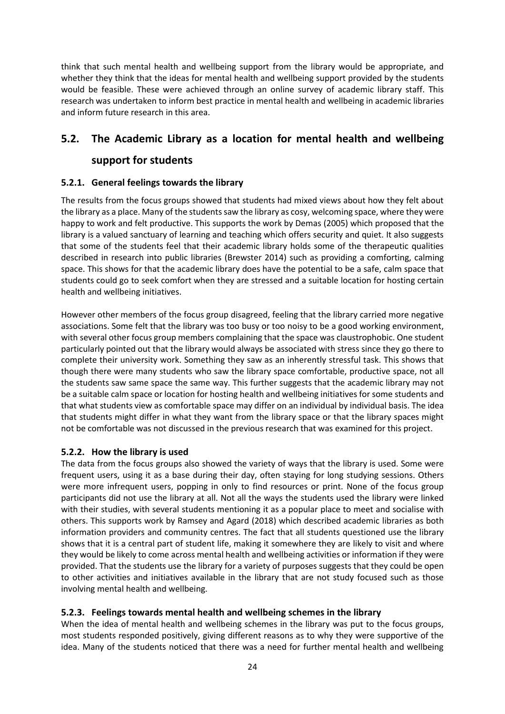think that such mental health and wellbeing support from the library would be appropriate, and whether they think that the ideas for mental health and wellbeing support provided by the students would be feasible. These were achieved through an online survey of academic library staff. This research was undertaken to inform best practice in mental health and wellbeing in academic libraries and inform future research in this area.

# **5.2. The Academic Library as a location for mental health and wellbeing**

### **support for students**

#### **5.2.1. General feelings towards the library**

The results from the focus groups showed that students had mixed views about how they felt about the library as a place. Many of the students saw the library as cosy, welcoming space, where they were happy to work and felt productive. This supports the work by Demas (2005) which proposed that the library is a valued sanctuary of learning and teaching which offers security and quiet. It also suggests that some of the students feel that their academic library holds some of the therapeutic qualities described in research into public libraries (Brewster 2014) such as providing a comforting, calming space. This shows for that the academic library does have the potential to be a safe, calm space that students could go to seek comfort when they are stressed and a suitable location for hosting certain health and wellbeing initiatives.

However other members of the focus group disagreed, feeling that the library carried more negative associations. Some felt that the library was too busy or too noisy to be a good working environment, with several other focus group members complaining that the space was claustrophobic. One student particularly pointed out that the library would always be associated with stress since they go there to complete their university work. Something they saw as an inherently stressful task. This shows that though there were many students who saw the library space comfortable, productive space, not all the students saw same space the same way. This further suggests that the academic library may not be a suitable calm space or location for hosting health and wellbeing initiatives for some students and that what students view as comfortable space may differ on an individual by individual basis. The idea that students might differ in what they want from the library space or that the library spaces might not be comfortable was not discussed in the previous research that was examined for this project.

#### **5.2.2. How the library is used**

The data from the focus groups also showed the variety of ways that the library is used. Some were frequent users, using it as a base during their day, often staying for long studying sessions. Others were more infrequent users, popping in only to find resources or print. None of the focus group participants did not use the library at all. Not all the ways the students used the library were linked with their studies, with several students mentioning it as a popular place to meet and socialise with others. This supports work by Ramsey and Agard (2018) which described academic libraries as both information providers and community centres. The fact that all students questioned use the library shows that it is a central part of student life, making it somewhere they are likely to visit and where they would be likely to come across mental health and wellbeing activities or information if they were provided. That the students use the library for a variety of purposes suggests that they could be open to other activities and initiatives available in the library that are not study focused such as those involving mental health and wellbeing.

### **5.2.3. Feelings towards mental health and wellbeing schemes in the library**

When the idea of mental health and wellbeing schemes in the library was put to the focus groups, most students responded positively, giving different reasons as to why they were supportive of the idea. Many of the students noticed that there was a need for further mental health and wellbeing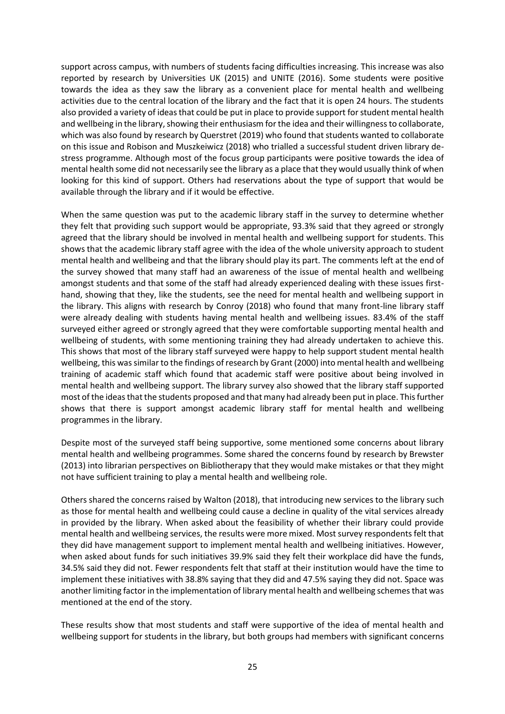support across campus, with numbers of students facing difficulties increasing. This increase was also reported by research by Universities UK (2015) and UNITE (2016). Some students were positive towards the idea as they saw the library as a convenient place for mental health and wellbeing activities due to the central location of the library and the fact that it is open 24 hours. The students also provided a variety of ideas that could be put in place to provide support for student mental health and wellbeing in the library, showing their enthusiasm for the idea and their willingness to collaborate, which was also found by research by Querstret (2019) who found that students wanted to collaborate on this issue and Robison and Muszkeiwicz (2018) who trialled a successful student driven library destress programme. Although most of the focus group participants were positive towards the idea of mental health some did not necessarily see the library as a place that they would usually think of when looking for this kind of support. Others had reservations about the type of support that would be available through the library and if it would be effective.

When the same question was put to the academic library staff in the survey to determine whether they felt that providing such support would be appropriate, 93.3% said that they agreed or strongly agreed that the library should be involved in mental health and wellbeing support for students. This shows that the academic library staff agree with the idea of the whole university approach to student mental health and wellbeing and that the library should play its part. The comments left at the end of the survey showed that many staff had an awareness of the issue of mental health and wellbeing amongst students and that some of the staff had already experienced dealing with these issues firsthand, showing that they, like the students, see the need for mental health and wellbeing support in the library. This aligns with research by Conroy (2018) who found that many front-line library staff were already dealing with students having mental health and wellbeing issues. 83.4% of the staff surveyed either agreed or strongly agreed that they were comfortable supporting mental health and wellbeing of students, with some mentioning training they had already undertaken to achieve this. This shows that most of the library staff surveyed were happy to help support student mental health wellbeing, this was similar to the findings of research by Grant (2000) into mental health and wellbeing training of academic staff which found that academic staff were positive about being involved in mental health and wellbeing support. The library survey also showed that the library staff supported most of the ideas that the students proposed and that many had already been put in place. This further shows that there is support amongst academic library staff for mental health and wellbeing programmes in the library.

Despite most of the surveyed staff being supportive, some mentioned some concerns about library mental health and wellbeing programmes. Some shared the concerns found by research by Brewster (2013) into librarian perspectives on Bibliotherapy that they would make mistakes or that they might not have sufficient training to play a mental health and wellbeing role.

Others shared the concerns raised by Walton (2018), that introducing new services to the library such as those for mental health and wellbeing could cause a decline in quality of the vital services already in provided by the library. When asked about the feasibility of whether their library could provide mental health and wellbeing services, the results were more mixed. Most survey respondents felt that they did have management support to implement mental health and wellbeing initiatives. However, when asked about funds for such initiatives 39.9% said they felt their workplace did have the funds, 34.5% said they did not. Fewer respondents felt that staff at their institution would have the time to implement these initiatives with 38.8% saying that they did and 47.5% saying they did not. Space was another limiting factor in the implementation of library mental health and wellbeing schemes that was mentioned at the end of the story.

These results show that most students and staff were supportive of the idea of mental health and wellbeing support for students in the library, but both groups had members with significant concerns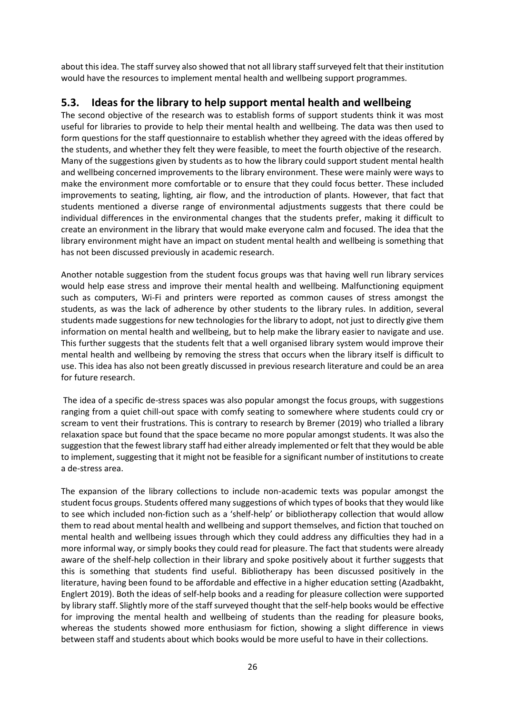about this idea. The staff survey also showed that not all library staff surveyed felt that their institution would have the resources to implement mental health and wellbeing support programmes.

### **5.3. Ideas for the library to help support mental health and wellbeing**

The second objective of the research was to establish forms of support students think it was most useful for libraries to provide to help their mental health and wellbeing. The data was then used to form questions for the staff questionnaire to establish whether they agreed with the ideas offered by the students, and whether they felt they were feasible, to meet the fourth objective of the research. Many of the suggestions given by students as to how the library could support student mental health and wellbeing concerned improvements to the library environment. These were mainly were ways to make the environment more comfortable or to ensure that they could focus better. These included improvements to seating, lighting, air flow, and the introduction of plants. However, that fact that students mentioned a diverse range of environmental adjustments suggests that there could be individual differences in the environmental changes that the students prefer, making it difficult to create an environment in the library that would make everyone calm and focused. The idea that the library environment might have an impact on student mental health and wellbeing is something that has not been discussed previously in academic research.

Another notable suggestion from the student focus groups was that having well run library services would help ease stress and improve their mental health and wellbeing. Malfunctioning equipment such as computers, Wi-Fi and printers were reported as common causes of stress amongst the students, as was the lack of adherence by other students to the library rules. In addition, several students made suggestions for new technologies for the library to adopt, not just to directly give them information on mental health and wellbeing, but to help make the library easier to navigate and use. This further suggests that the students felt that a well organised library system would improve their mental health and wellbeing by removing the stress that occurs when the library itself is difficult to use. This idea has also not been greatly discussed in previous research literature and could be an area for future research.

The idea of a specific de-stress spaces was also popular amongst the focus groups, with suggestions ranging from a quiet chill-out space with comfy seating to somewhere where students could cry or scream to vent their frustrations. This is contrary to research by Bremer (2019) who trialled a library relaxation space but found that the space became no more popular amongst students. It was also the suggestion that the fewest library staff had either already implemented or felt that they would be able to implement, suggesting that it might not be feasible for a significant number of institutions to create a de-stress area.

The expansion of the library collections to include non-academic texts was popular amongst the student focus groups. Students offered many suggestions of which types of books that they would like to see which included non-fiction such as a 'shelf-help' or bibliotherapy collection that would allow them to read about mental health and wellbeing and support themselves, and fiction that touched on mental health and wellbeing issues through which they could address any difficulties they had in a more informal way, or simply books they could read for pleasure. The fact that students were already aware of the shelf-help collection in their library and spoke positively about it further suggests that this is something that students find useful. Bibliotherapy has been discussed positively in the literature, having been found to be affordable and effective in a higher education setting (Azadbakht, Englert 2019). Both the ideas of self-help books and a reading for pleasure collection were supported by library staff. Slightly more of the staff surveyed thought that the self-help books would be effective for improving the mental health and wellbeing of students than the reading for pleasure books, whereas the students showed more enthusiasm for fiction, showing a slight difference in views between staff and students about which books would be more useful to have in their collections.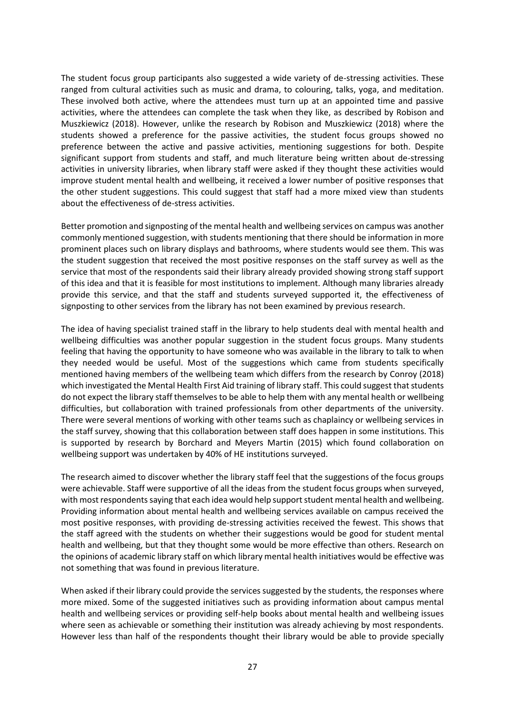The student focus group participants also suggested a wide variety of de-stressing activities. These ranged from cultural activities such as music and drama, to colouring, talks, yoga, and meditation. These involved both active, where the attendees must turn up at an appointed time and passive activities, where the attendees can complete the task when they like, as described by Robison and Muszkiewicz (2018). However, unlike the research by Robison and Muszkiewicz (2018) where the students showed a preference for the passive activities, the student focus groups showed no preference between the active and passive activities, mentioning suggestions for both. Despite significant support from students and staff, and much literature being written about de-stressing activities in university libraries, when library staff were asked if they thought these activities would improve student mental health and wellbeing, it received a lower number of positive responses that the other student suggestions. This could suggest that staff had a more mixed view than students about the effectiveness of de-stress activities.

Better promotion and signposting of the mental health and wellbeing services on campus was another commonly mentioned suggestion, with students mentioning that there should be information in more prominent places such on library displays and bathrooms, where students would see them. This was the student suggestion that received the most positive responses on the staff survey as well as the service that most of the respondents said their library already provided showing strong staff support of this idea and that it is feasible for most institutions to implement. Although many libraries already provide this service, and that the staff and students surveyed supported it, the effectiveness of signposting to other services from the library has not been examined by previous research.

The idea of having specialist trained staff in the library to help students deal with mental health and wellbeing difficulties was another popular suggestion in the student focus groups. Many students feeling that having the opportunity to have someone who was available in the library to talk to when they needed would be useful. Most of the suggestions which came from students specifically mentioned having members of the wellbeing team which differs from the research by Conroy (2018) which investigated the Mental Health First Aid training of library staff. This could suggest that students do not expect the library staff themselves to be able to help them with any mental health or wellbeing difficulties, but collaboration with trained professionals from other departments of the university. There were several mentions of working with other teams such as chaplaincy or wellbeing services in the staff survey, showing that this collaboration between staff does happen in some institutions. This is supported by research by Borchard and Meyers Martin (2015) which found collaboration on wellbeing support was undertaken by 40% of HE institutions surveyed.

The research aimed to discover whether the library staff feel that the suggestions of the focus groups were achievable. Staff were supportive of all the ideas from the student focus groups when surveyed, with most respondents saying that each idea would help support student mental health and wellbeing. Providing information about mental health and wellbeing services available on campus received the most positive responses, with providing de-stressing activities received the fewest. This shows that the staff agreed with the students on whether their suggestions would be good for student mental health and wellbeing, but that they thought some would be more effective than others. Research on the opinions of academic library staff on which library mental health initiatives would be effective was not something that was found in previous literature.

When asked if their library could provide the services suggested by the students, the responses where more mixed. Some of the suggested initiatives such as providing information about campus mental health and wellbeing services or providing self-help books about mental health and wellbeing issues where seen as achievable or something their institution was already achieving by most respondents. However less than half of the respondents thought their library would be able to provide specially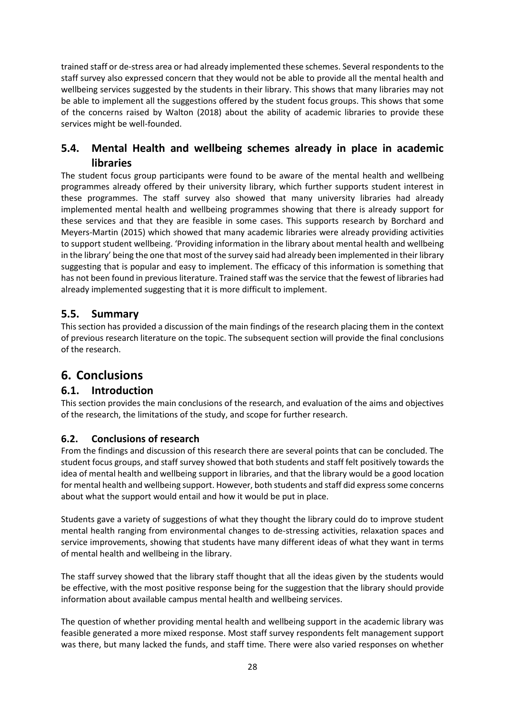trained staff or de-stress area or had already implemented these schemes. Several respondents to the staff survey also expressed concern that they would not be able to provide all the mental health and wellbeing services suggested by the students in their library. This shows that many libraries may not be able to implement all the suggestions offered by the student focus groups. This shows that some of the concerns raised by Walton (2018) about the ability of academic libraries to provide these services might be well-founded.

## **5.4. Mental Health and wellbeing schemes already in place in academic libraries**

The student focus group participants were found to be aware of the mental health and wellbeing programmes already offered by their university library, which further supports student interest in these programmes. The staff survey also showed that many university libraries had already implemented mental health and wellbeing programmes showing that there is already support for these services and that they are feasible in some cases. This supports research by Borchard and Meyers-Martin (2015) which showed that many academic libraries were already providing activities to support student wellbeing. 'Providing information in the library about mental health and wellbeing in the library' being the one that most of the survey said had already been implemented in their library suggesting that is popular and easy to implement. The efficacy of this information is something that has not been found in previous literature. Trained staff was the service that the fewest of libraries had already implemented suggesting that it is more difficult to implement.

## **5.5. Summary**

This section has provided a discussion of the main findings of the research placing them in the context of previous research literature on the topic. The subsequent section will provide the final conclusions of the research.

# **6. Conclusions**

### **6.1. Introduction**

This section provides the main conclusions of the research, and evaluation of the aims and objectives of the research, the limitations of the study, and scope for further research.

### **6.2. Conclusions of research**

From the findings and discussion of this research there are several points that can be concluded. The student focus groups, and staff survey showed that both students and staff felt positively towards the idea of mental health and wellbeing support in libraries, and that the library would be a good location for mental health and wellbeing support. However, both students and staff did express some concerns about what the support would entail and how it would be put in place.

Students gave a variety of suggestions of what they thought the library could do to improve student mental health ranging from environmental changes to de-stressing activities, relaxation spaces and service improvements, showing that students have many different ideas of what they want in terms of mental health and wellbeing in the library.

The staff survey showed that the library staff thought that all the ideas given by the students would be effective, with the most positive response being for the suggestion that the library should provide information about available campus mental health and wellbeing services.

The question of whether providing mental health and wellbeing support in the academic library was feasible generated a more mixed response. Most staff survey respondents felt management support was there, but many lacked the funds, and staff time. There were also varied responses on whether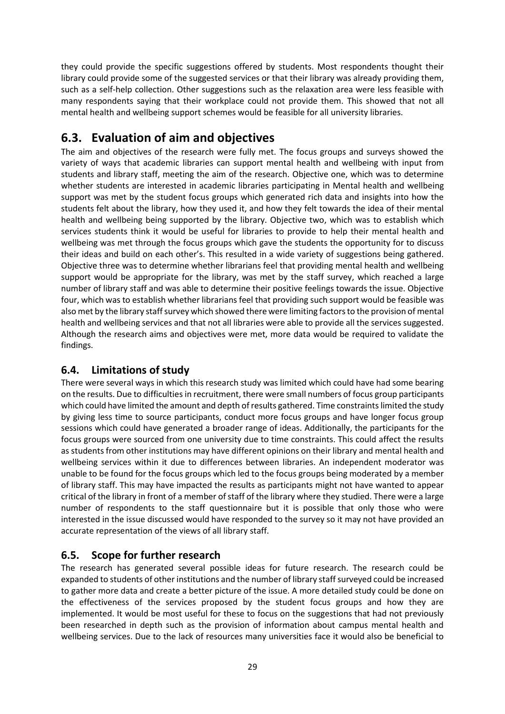they could provide the specific suggestions offered by students. Most respondents thought their library could provide some of the suggested services or that their library was already providing them, such as a self-help collection. Other suggestions such as the relaxation area were less feasible with many respondents saying that their workplace could not provide them. This showed that not all mental health and wellbeing support schemes would be feasible for all university libraries.

# **6.3. Evaluation of aim and objectives**

The aim and objectives of the research were fully met. The focus groups and surveys showed the variety of ways that academic libraries can support mental health and wellbeing with input from students and library staff, meeting the aim of the research. Objective one, which was to determine whether students are interested in academic libraries participating in Mental health and wellbeing support was met by the student focus groups which generated rich data and insights into how the students felt about the library, how they used it, and how they felt towards the idea of their mental health and wellbeing being supported by the library. Objective two, which was to establish which services students think it would be useful for libraries to provide to help their mental health and wellbeing was met through the focus groups which gave the students the opportunity for to discuss their ideas and build on each other's. This resulted in a wide variety of suggestions being gathered. Objective three was to determine whether librarians feel that providing mental health and wellbeing support would be appropriate for the library, was met by the staff survey, which reached a large number of library staff and was able to determine their positive feelings towards the issue. Objective four, which was to establish whether librarians feel that providing such support would be feasible was also met by the library staff survey which showed there were limiting factors to the provision of mental health and wellbeing services and that not all libraries were able to provide all the services suggested. Although the research aims and objectives were met, more data would be required to validate the findings.

## **6.4. Limitations of study**

There were several ways in which this research study was limited which could have had some bearing on the results. Due to difficulties in recruitment, there were small numbers of focus group participants which could have limited the amount and depth of results gathered. Time constraints limited the study by giving less time to source participants, conduct more focus groups and have longer focus group sessions which could have generated a broader range of ideas. Additionally, the participants for the focus groups were sourced from one university due to time constraints. This could affect the results as students from other institutions may have different opinions on their library and mental health and wellbeing services within it due to differences between libraries. An independent moderator was unable to be found for the focus groups which led to the focus groups being moderated by a member of library staff. This may have impacted the results as participants might not have wanted to appear critical of the library in front of a member of staff of the library where they studied. There were a large number of respondents to the staff questionnaire but it is possible that only those who were interested in the issue discussed would have responded to the survey so it may not have provided an accurate representation of the views of all library staff.

## **6.5. Scope for further research**

The research has generated several possible ideas for future research. The research could be expanded to students of other institutions and the number of library staff surveyed could be increased to gather more data and create a better picture of the issue. A more detailed study could be done on the effectiveness of the services proposed by the student focus groups and how they are implemented. It would be most useful for these to focus on the suggestions that had not previously been researched in depth such as the provision of information about campus mental health and wellbeing services. Due to the lack of resources many universities face it would also be beneficial to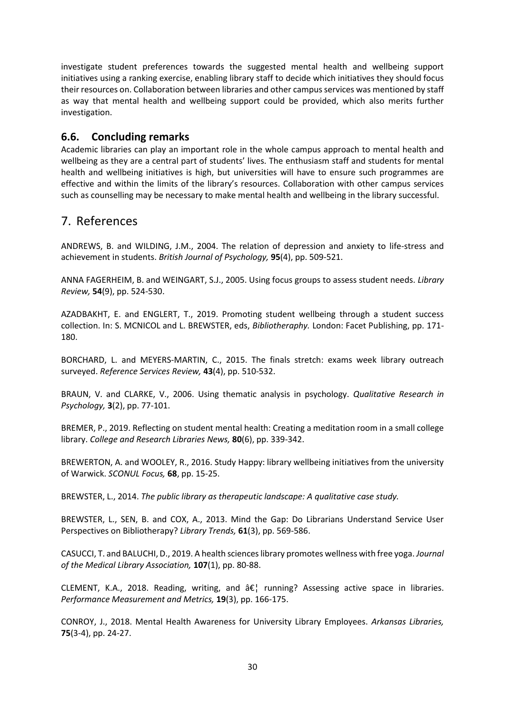investigate student preferences towards the suggested mental health and wellbeing support initiatives using a ranking exercise, enabling library staff to decide which initiatives they should focus their resources on. Collaboration between libraries and other campus services was mentioned by staff as way that mental health and wellbeing support could be provided, which also merits further investigation.

### **6.6. Concluding remarks**

Academic libraries can play an important role in the whole campus approach to mental health and wellbeing as they are a central part of students' lives. The enthusiasm staff and students for mental health and wellbeing initiatives is high, but universities will have to ensure such programmes are effective and within the limits of the library's resources. Collaboration with other campus services such as counselling may be necessary to make mental health and wellbeing in the library successful.

# 7. References

ANDREWS, B. and WILDING, J.M., 2004. The relation of depression and anxiety to life-stress and achievement in students. *British Journal of Psychology,* **95**(4), pp. 509-521.

ANNA FAGERHEIM, B. and WEINGART, S.J., 2005. Using focus groups to assess student needs. *Library Review,* **54**(9), pp. 524-530.

AZADBAKHT, E. and ENGLERT, T., 2019. Promoting student wellbeing through a student success collection. In: S. MCNICOL and L. BREWSTER, eds, *Bibliotheraphy.* London: Facet Publishing, pp. 171- 180.

BORCHARD, L. and MEYERS-MARTIN, C., 2015. The finals stretch: exams week library outreach surveyed. *Reference Services Review,* **43**(4), pp. 510-532.

BRAUN, V. and CLARKE, V., 2006. Using thematic analysis in psychology. *Qualitative Research in Psychology,* **3**(2), pp. 77-101.

BREMER, P., 2019. Reflecting on student mental health: Creating a meditation room in a small college library. *College and Research Libraries News,* **80**(6), pp. 339-342.

BREWERTON, A. and WOOLEY, R., 2016. Study Happy: library wellbeing initiatives from the university of Warwick. *SCONUL Focus,* **68**, pp. 15-25.

BREWSTER, L., 2014. *The public library as therapeutic landscape: A qualitative case study.* 

BREWSTER, L., SEN, B. and COX, A., 2013. Mind the Gap: Do Librarians Understand Service User Perspectives on Bibliotherapy? *Library Trends,* **61**(3), pp. 569-586.

CASUCCI, T. and BALUCHI, D., 2019. A health sciences library promotes wellness with free yoga. *Journal of the Medical Library Association,* **107**(1), pp. 80-88.

CLEMENT, K.A., 2018. Reading, writing, and  $\hat{a}\epsilon$  running? Assessing active space in libraries. *Performance Measurement and Metrics,* **19**(3), pp. 166-175.

CONROY, J., 2018. Mental Health Awareness for University Library Employees. *Arkansas Libraries,*  **75**(3-4), pp. 24-27.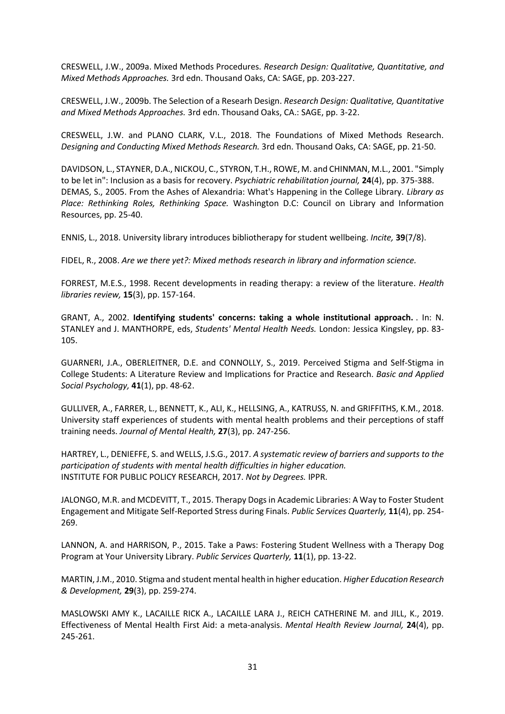CRESWELL, J.W., 2009a. Mixed Methods Procedures. *Research Design: Qualitative, Quantitative, and Mixed Methods Approaches.* 3rd edn. Thousand Oaks, CA: SAGE, pp. 203-227.

CRESWELL, J.W., 2009b. The Selection of a Researh Design. *Research Design: Qualitative, Quantitative and Mixed Methods Approaches.* 3rd edn. Thousand Oaks, CA.: SAGE, pp. 3-22.

CRESWELL, J.W. and PLANO CLARK, V.L., 2018. The Foundations of Mixed Methods Research. *Designing and Conducting Mixed Methods Research.* 3rd edn. Thousand Oaks, CA: SAGE, pp. 21-50.

DAVIDSON, L., STAYNER, D.A., NICKOU, C., STYRON, T.H., ROWE, M. and CHINMAN, M.L., 2001. "Simply to be let in": Inclusion as a basis for recovery. *Psychiatric rehabilitation journal,* **24**(4), pp. 375-388. DEMAS, S., 2005. From the Ashes of Alexandria: What's Happening in the College Library. *Library as Place: Rethinking Roles, Rethinking Space.* Washington D.C: Council on Library and Information Resources, pp. 25-40.

ENNIS, L., 2018. University library introduces bibliotherapy for student wellbeing. *Incite,* **39**(7/8).

FIDEL, R., 2008. *Are we there yet?: Mixed methods research in library and information science.* 

FORREST, M.E.S., 1998. Recent developments in reading therapy: a review of the literature. *Health libraries review,* **15**(3), pp. 157-164.

GRANT, A., 2002. **Identifying students' concerns: taking a whole institutional approach.** . In: N. STANLEY and J. MANTHORPE, eds, *Students' Mental Health Needs.* London: Jessica Kingsley, pp. 83- 105.

GUARNERI, J.A., OBERLEITNER, D.E. and CONNOLLY, S., 2019. Perceived Stigma and Self-Stigma in College Students: A Literature Review and Implications for Practice and Research. *Basic and Applied Social Psychology,* **41**(1), pp. 48-62.

GULLIVER, A., FARRER, L., BENNETT, K., ALI, K., HELLSING, A., KATRUSS, N. and GRIFFITHS, K.M., 2018. University staff experiences of students with mental health problems and their perceptions of staff training needs. *Journal of Mental Health,* **27**(3), pp. 247-256.

HARTREY, L., DENIEFFE, S. and WELLS, J.S.G., 2017. *A systematic review of barriers and supports to the participation of students with mental health difficulties in higher education.*  INSTITUTE FOR PUBLIC POLICY RESEARCH, 2017. *Not by Degrees.* IPPR.

JALONGO, M.R. and MCDEVITT, T., 2015. Therapy Dogs in Academic Libraries: A Way to Foster Student Engagement and Mitigate Self-Reported Stress during Finals. *Public Services Quarterly,* **11**(4), pp. 254- 269.

LANNON, A. and HARRISON, P., 2015. Take a Paws: Fostering Student Wellness with a Therapy Dog Program at Your University Library. *Public Services Quarterly,* **11**(1), pp. 13-22.

MARTIN, J.M., 2010. Stigma and student mental health in higher education. *Higher Education Research & Development,* **29**(3), pp. 259-274.

MASLOWSKI AMY K., LACAILLE RICK A., LACAILLE LARA J., REICH CATHERINE M. and JILL, K., 2019. Effectiveness of Mental Health First Aid: a meta-analysis. *Mental Health Review Journal,* **24**(4), pp. 245-261.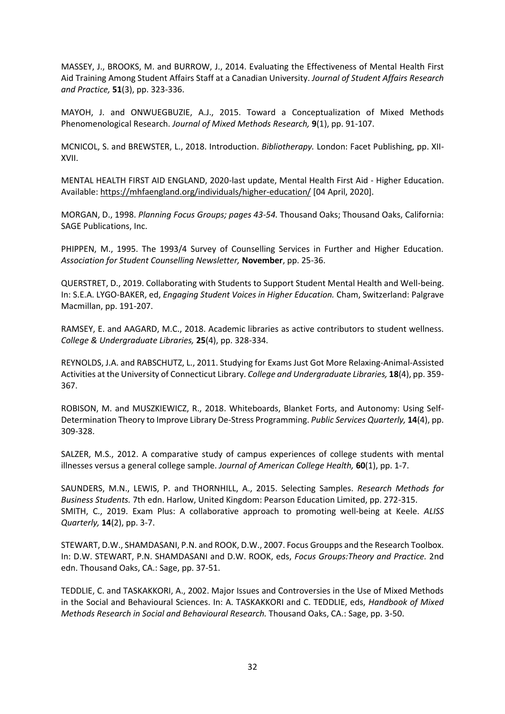MASSEY, J., BROOKS, M. and BURROW, J., 2014. Evaluating the Effectiveness of Mental Health First Aid Training Among Student Affairs Staff at a Canadian University. *Journal of Student Affairs Research and Practice,* **51**(3), pp. 323-336.

MAYOH, J. and ONWUEGBUZIE, A.J., 2015. Toward a Conceptualization of Mixed Methods Phenomenological Research. *Journal of Mixed Methods Research,* **9**(1), pp. 91-107.

MCNICOL, S. and BREWSTER, L., 2018. Introduction. *Bibliotherapy.* London: Facet Publishing, pp. XII-XVII.

MENTAL HEALTH FIRST AID ENGLAND, 2020-last update, Mental Health First Aid - Higher Education. Available:<https://mhfaengland.org/individuals/higher-education/> [04 April, 2020].

MORGAN, D., 1998. *Planning Focus Groups; pages 43-54.* Thousand Oaks; Thousand Oaks, California: SAGE Publications, Inc.

PHIPPEN, M., 1995. The 1993/4 Survey of Counselling Services in Further and Higher Education. *Association for Student Counselling Newsletter,* **November**, pp. 25-36.

QUERSTRET, D., 2019. Collaborating with Students to Support Student Mental Health and Well-being. In: S.E.A. LYGO-BAKER, ed, *Engaging Student Voices in Higher Education.* Cham, Switzerland: Palgrave Macmillan, pp. 191-207.

RAMSEY, E. and AAGARD, M.C., 2018. Academic libraries as active contributors to student wellness. *College & Undergraduate Libraries,* **25**(4), pp. 328-334.

REYNOLDS, J.A. and RABSCHUTZ, L., 2011. Studying for Exams Just Got More Relaxing-Animal-Assisted Activities at the University of Connecticut Library. *College and Undergraduate Libraries,* **18**(4), pp. 359- 367.

ROBISON, M. and MUSZKIEWICZ, R., 2018. Whiteboards, Blanket Forts, and Autonomy: Using Self-Determination Theory to Improve Library De-Stress Programming. *Public Services Quarterly,* **14**(4), pp. 309-328.

SALZER, M.S., 2012. A comparative study of campus experiences of college students with mental illnesses versus a general college sample. *Journal of American College Health,* **60**(1), pp. 1-7.

SAUNDERS, M.N., LEWIS, P. and THORNHILL, A., 2015. Selecting Samples. *Research Methods for Business Students.* 7th edn. Harlow, United Kingdom: Pearson Education Limited, pp. 272-315. SMITH, C., 2019. Exam Plus: A collaborative approach to promoting well-being at Keele. *ALISS Quarterly,* **14**(2), pp. 3-7.

STEWART, D.W., SHAMDASANI, P.N. and ROOK, D.W., 2007. Focus Groupps and the Research Toolbox. In: D.W. STEWART, P.N. SHAMDASANI and D.W. ROOK, eds, *Focus Groups:Theory and Practice.* 2nd edn. Thousand Oaks, CA.: Sage, pp. 37-51.

TEDDLIE, C. and TASKAKKORI, A., 2002. Major Issues and Controversies in the Use of Mixed Methods in the Social and Behavioural Sciences. In: A. TASKAKKORI and C. TEDDLIE, eds, *Handbook of Mixed Methods Research in Social and Behavioural Research.* Thousand Oaks, CA.: Sage, pp. 3-50.